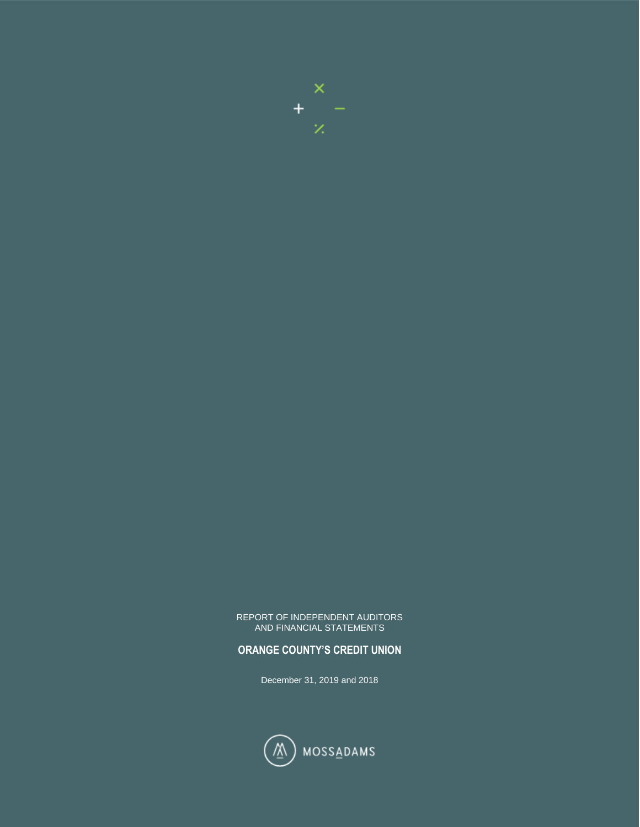

REPORT OF INDEPENDENT AUDITORS AND FINANCIAL STATEMENTS

# **ORANGE COUNTY'S CREDIT UNION**

December 31, 2019 and 2018

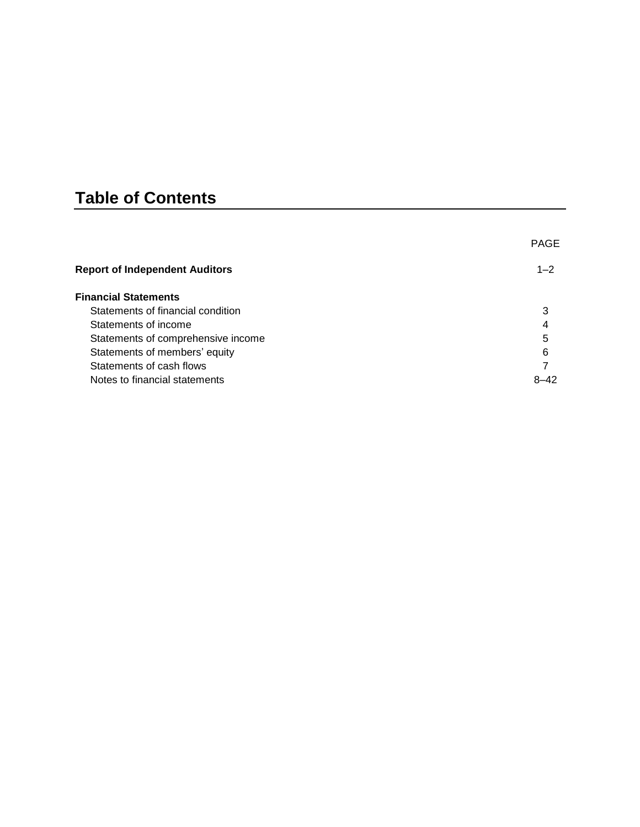# **Table of Contents**

|                                       | <b>PAGE</b> |
|---------------------------------------|-------------|
| <b>Report of Independent Auditors</b> | $1 - 2$     |
| <b>Financial Statements</b>           |             |
| Statements of financial condition     | 3           |
| Statements of income                  | 4           |
| Statements of comprehensive income    | 5           |
| Statements of members' equity         | 6           |
| Statements of cash flows              |             |
| Notes to financial statements         | $8 - 42$    |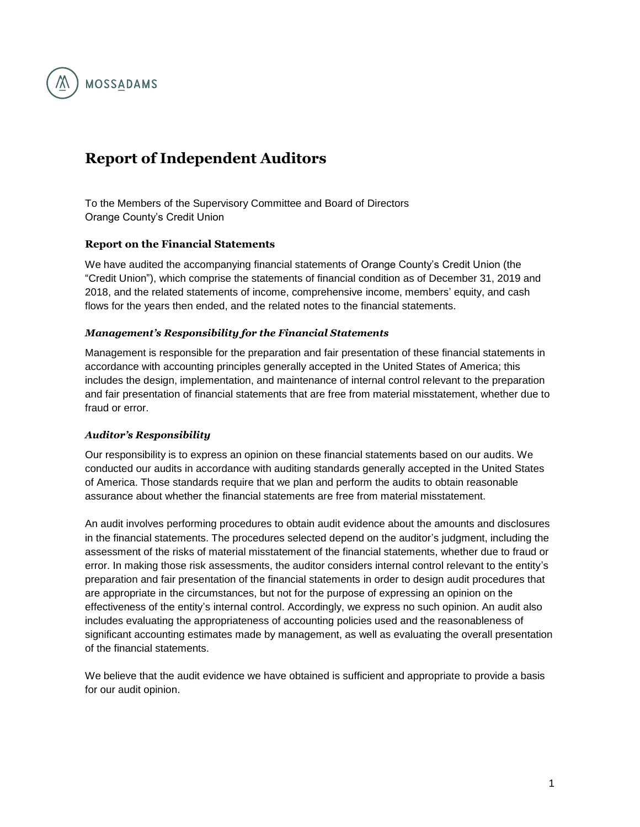

# <span id="page-2-0"></span>**Report of Independent Auditors**

To the Members of the Supervisory Committee and Board of Directors Orange County's Credit Union

#### **Report on the Financial Statements**

We have audited the accompanying financial statements of Orange County's Credit Union (the "Credit Union"), which comprise the statements of financial condition as of December 31, 2019 and 2018, and the related statements of income, comprehensive income, members' equity, and cash flows for the years then ended, and the related notes to the financial statements.

#### *Management's Responsibility for the Financial Statements*

Management is responsible for the preparation and fair presentation of these financial statements in accordance with accounting principles generally accepted in the United States of America; this includes the design, implementation, and maintenance of internal control relevant to the preparation and fair presentation of financial statements that are free from material misstatement, whether due to fraud or error.

#### *Auditor's Responsibility*

Our responsibility is to express an opinion on these financial statements based on our audits. We conducted our audits in accordance with auditing standards generally accepted in the United States of America. Those standards require that we plan and perform the audits to obtain reasonable assurance about whether the financial statements are free from material misstatement.

An audit involves performing procedures to obtain audit evidence about the amounts and disclosures in the financial statements. The procedures selected depend on the auditor's judgment, including the assessment of the risks of material misstatement of the financial statements, whether due to fraud or error. In making those risk assessments, the auditor considers internal control relevant to the entity's preparation and fair presentation of the financial statements in order to design audit procedures that are appropriate in the circumstances, but not for the purpose of expressing an opinion on the effectiveness of the entity's internal control. Accordingly, we express no such opinion. An audit also includes evaluating the appropriateness of accounting policies used and the reasonableness of significant accounting estimates made by management, as well as evaluating the overall presentation of the financial statements.

We believe that the audit evidence we have obtained is sufficient and appropriate to provide a basis for our audit opinion.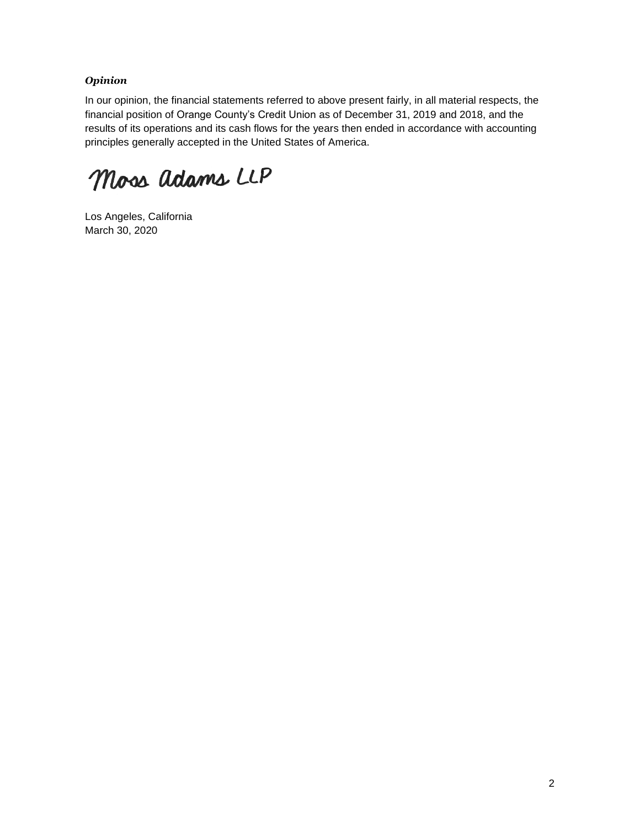# *Opinion*

In our opinion, the financial statements referred to above present fairly, in all material respects, the financial position of Orange County's Credit Union as of December 31, 2019 and 2018, and the results of its operations and its cash flows for the years then ended in accordance with accounting principles generally accepted in the United States of America.

Moss adams LLP

Los Angeles, California March 30, 2020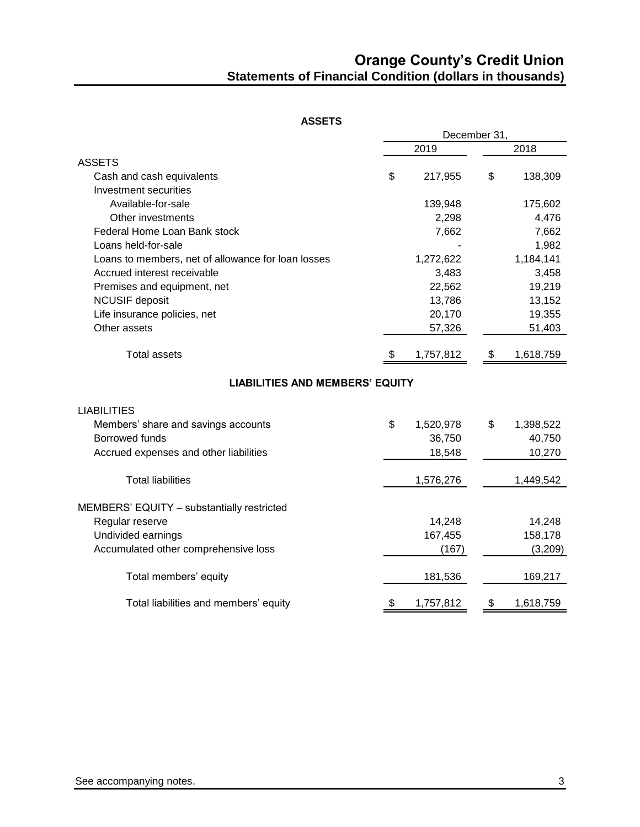# **Orange County's Credit Union Statements of Financial Condition (dollars in thousands)**

#### **ASSETS**

<span id="page-4-0"></span>

|                                                    | December 31, |           |    |           |
|----------------------------------------------------|--------------|-----------|----|-----------|
|                                                    |              | 2019      |    | 2018      |
| <b>ASSETS</b>                                      |              |           |    |           |
| Cash and cash equivalents                          | \$           | 217,955   | \$ | 138,309   |
| <b>Investment securities</b>                       |              |           |    |           |
| Available-for-sale                                 |              | 139,948   |    | 175,602   |
| Other investments                                  |              | 2,298     |    | 4,476     |
| Federal Home Loan Bank stock                       |              | 7,662     |    | 7,662     |
| Loans held-for-sale                                |              |           |    | 1,982     |
| Loans to members, net of allowance for loan losses |              | 1,272,622 |    | 1,184,141 |
| Accrued interest receivable                        |              | 3,483     |    | 3,458     |
| Premises and equipment, net                        |              | 22,562    |    | 19,219    |
| <b>NCUSIF deposit</b>                              |              | 13,786    |    | 13,152    |
| Life insurance policies, net                       |              | 20,170    |    | 19,355    |
| Other assets                                       |              | 57,326    |    | 51,403    |
| <b>Total assets</b>                                | S            | 1,757,812 | \$ | 1,618,759 |
| <b>LIABILITIES AND MEMBERS' EQUITY</b>             |              |           |    |           |
| <b>LIABILITIES</b>                                 |              |           |    |           |
| Members' share and savings accounts                | \$           | 1,520,978 | \$ | 1,398,522 |
| Borrowed funds                                     |              | 36,750    |    | 40,750    |
| Accrued expenses and other liabilities             |              | 18,548    |    | 10,270    |
| <b>Total liabilities</b>                           |              | 1,576,276 |    | 1,449,542 |
| MEMBERS' EQUITY - substantially restricted         |              |           |    |           |
| Regular reserve                                    |              | 14,248    |    | 14,248    |
| Undivided earnings                                 |              | 167,455   |    | 158,178   |
| Accumulated other comprehensive loss               |              | (167)     |    | (3,209)   |
| Total members' equity                              |              | 181,536   |    | 169,217   |
| Total liabilities and members' equity              | \$           | 1,757,812 | \$ | 1,618,759 |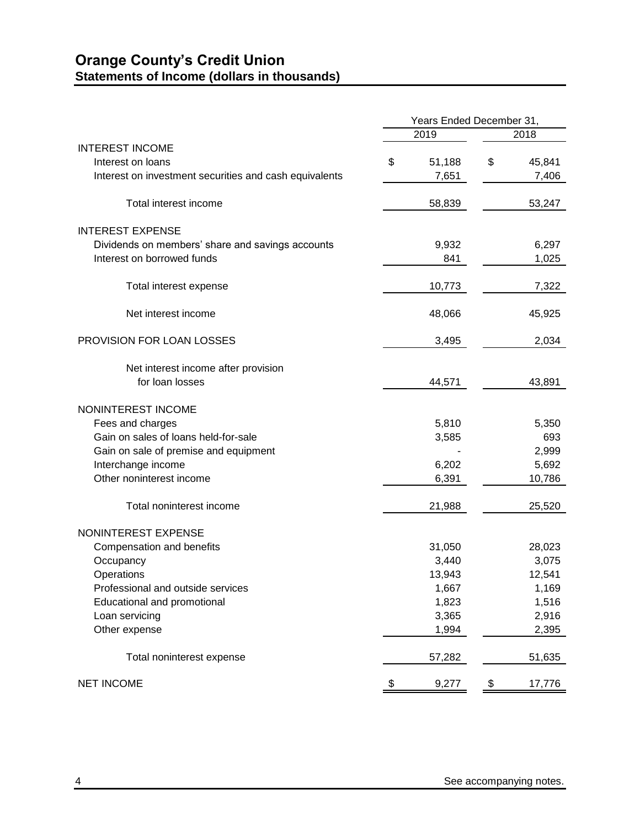# <span id="page-5-0"></span>**Orange County's Credit Union Statements of Income (dollars in thousands)**

|                                                        | Years Ended December 31, |              |  |  |  |
|--------------------------------------------------------|--------------------------|--------------|--|--|--|
|                                                        | 2019                     | 2018         |  |  |  |
| <b>INTEREST INCOME</b>                                 |                          |              |  |  |  |
| Interest on loans                                      | \$<br>51,188             | 45,841<br>\$ |  |  |  |
| Interest on investment securities and cash equivalents | 7,651                    | 7,406        |  |  |  |
| Total interest income                                  | 58,839                   | 53,247       |  |  |  |
| <b>INTEREST EXPENSE</b>                                |                          |              |  |  |  |
| Dividends on members' share and savings accounts       | 9,932                    | 6,297        |  |  |  |
| Interest on borrowed funds                             | 841                      | 1,025        |  |  |  |
| Total interest expense                                 | 10,773                   | 7,322        |  |  |  |
| Net interest income                                    | 48,066                   | 45,925       |  |  |  |
| PROVISION FOR LOAN LOSSES                              | 3,495                    | 2,034        |  |  |  |
| Net interest income after provision                    |                          |              |  |  |  |
| for loan losses                                        | 44,571                   | 43,891       |  |  |  |
| NONINTEREST INCOME                                     |                          |              |  |  |  |
| Fees and charges                                       | 5,810                    | 5,350        |  |  |  |
| Gain on sales of loans held-for-sale                   | 3,585                    | 693          |  |  |  |
| Gain on sale of premise and equipment                  |                          | 2,999        |  |  |  |
| Interchange income                                     | 6,202                    | 5,692        |  |  |  |
| Other noninterest income                               | 6,391                    | 10,786       |  |  |  |
| Total noninterest income                               | 21,988                   | 25,520       |  |  |  |
| NONINTEREST EXPENSE                                    |                          |              |  |  |  |
| Compensation and benefits                              | 31,050                   | 28,023       |  |  |  |
| Occupancy                                              | 3,440                    | 3,075        |  |  |  |
| Operations                                             | 13,943                   | 12,541       |  |  |  |
| Professional and outside services                      | 1,667                    | 1,169        |  |  |  |
| Educational and promotional                            | 1,823                    | 1,516        |  |  |  |
| Loan servicing                                         | 3,365                    | 2,916        |  |  |  |
| Other expense                                          | 1,994                    | 2,395        |  |  |  |
| Total noninterest expense                              | 57,282                   | 51,635       |  |  |  |
| <b>NET INCOME</b>                                      | 9,277                    | 17,776<br>\$ |  |  |  |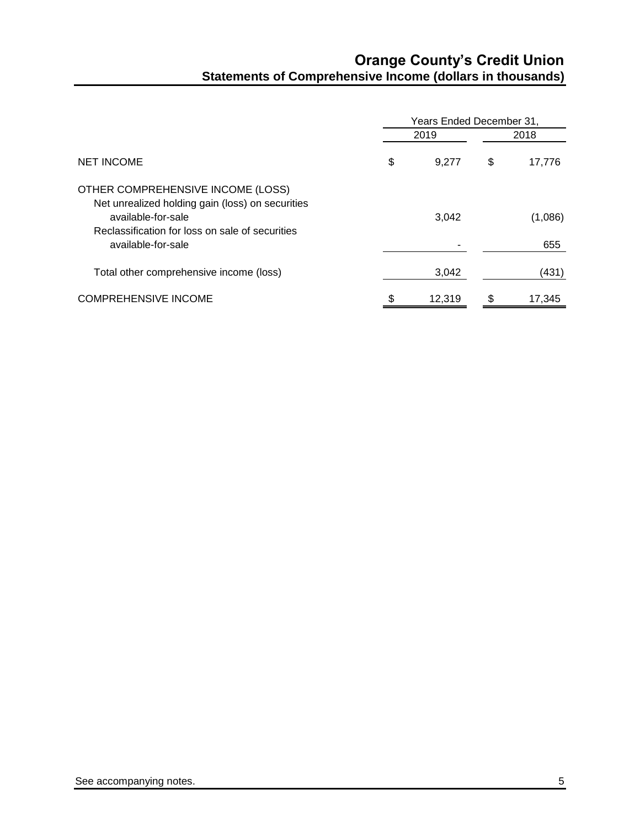# **Orange County's Credit Union Statements of Comprehensive Income (dollars in thousands)**

<span id="page-6-0"></span>

|                                                                                       | Years Ended December 31, |        |   |         |  |  |  |
|---------------------------------------------------------------------------------------|--------------------------|--------|---|---------|--|--|--|
|                                                                                       |                          | 2019   |   | 2018    |  |  |  |
| <b>NET INCOME</b>                                                                     | \$                       | 9,277  | S | 17,776  |  |  |  |
| OTHER COMPREHENSIVE INCOME (LOSS)<br>Net unrealized holding gain (loss) on securities |                          |        |   |         |  |  |  |
| available-for-sale                                                                    |                          | 3,042  |   | (1,086) |  |  |  |
| Reclassification for loss on sale of securities<br>available-for-sale                 |                          |        |   | 655     |  |  |  |
| Total other comprehensive income (loss)                                               |                          | 3,042  |   | (431)   |  |  |  |
| <b>COMPREHENSIVE INCOME</b>                                                           |                          | 12,319 |   | 17,345  |  |  |  |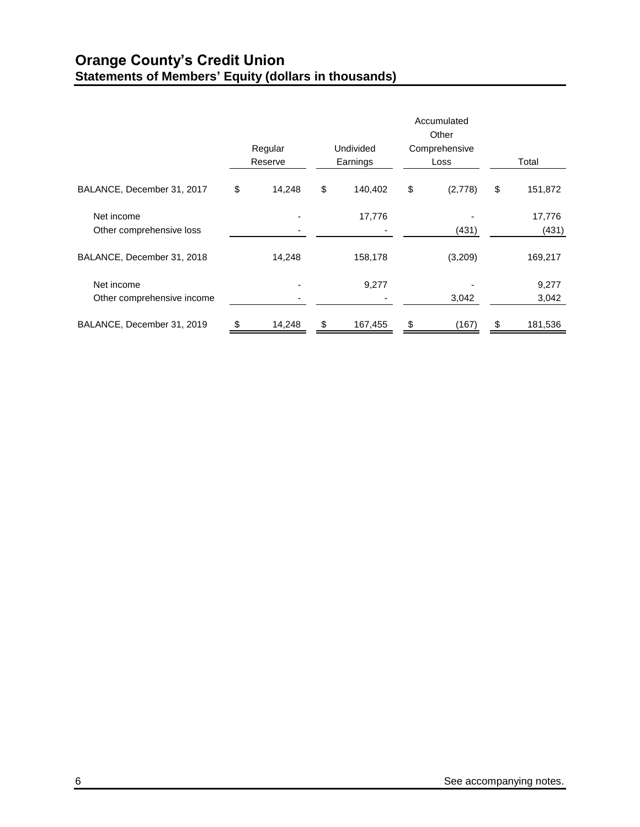# <span id="page-7-0"></span>**Orange County's Credit Union Statements of Members' Equity (dollars in thousands)**

|                                          | Regular      | Undivided     | Accumulated<br>Other<br>Comprehensive |                 |
|------------------------------------------|--------------|---------------|---------------------------------------|-----------------|
|                                          | Reserve      | Earnings      | Loss                                  | Total           |
| BALANCE, December 31, 2017               | \$<br>14,248 | \$<br>140,402 | \$<br>(2,778)                         | \$<br>151,872   |
| Net income<br>Other comprehensive loss   |              | 17,776        | (431)                                 | 17,776<br>(431) |
| BALANCE, December 31, 2018               | 14,248       | 158,178       | (3,209)                               | 169,217         |
| Net income<br>Other comprehensive income |              | 9,277         | 3,042                                 | 9,277<br>3,042  |
| BALANCE, December 31, 2019               | \$<br>14,248 | \$<br>167,455 | \$<br>(167)                           | \$<br>181,536   |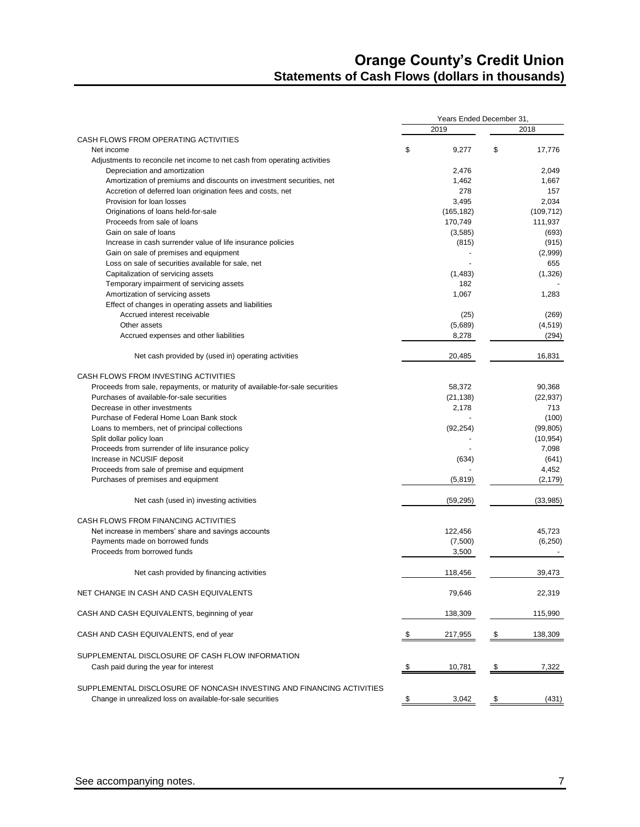# **Orange County's Credit Union Statements of Cash Flows (dollars in thousands)**

<span id="page-8-0"></span>

|                                                                              | Years Ended December 31, |            |               |            |
|------------------------------------------------------------------------------|--------------------------|------------|---------------|------------|
|                                                                              |                          | 2019       |               | 2018       |
| CASH FLOWS FROM OPERATING ACTIVITIES                                         |                          |            |               |            |
| Net income                                                                   | \$                       | 9,277      | \$            | 17,776     |
| Adjustments to reconcile net income to net cash from operating activities    |                          |            |               |            |
| Depreciation and amortization                                                |                          | 2,476      |               | 2,049      |
| Amortization of premiums and discounts on investment securities, net         |                          | 1,462      |               | 1,667      |
| Accretion of deferred loan origination fees and costs, net                   |                          | 278        |               | 157        |
| Provision for loan losses                                                    |                          | 3,495      |               | 2,034      |
| Originations of loans held-for-sale                                          |                          | (165, 182) |               | (109, 712) |
| Proceeds from sale of loans                                                  |                          | 170,749    |               | 111,937    |
| Gain on sale of loans                                                        |                          | (3,585)    |               | (693)      |
| Increase in cash surrender value of life insurance policies                  |                          | (815)      |               | (915)      |
| Gain on sale of premises and equipment                                       |                          |            |               | (2,999)    |
| Loss on sale of securities available for sale, net                           |                          |            |               | 655        |
| Capitalization of servicing assets                                           |                          | (1,483)    |               | (1,326)    |
| Temporary impairment of servicing assets                                     |                          | 182        |               |            |
| Amortization of servicing assets                                             |                          | 1,067      |               | 1,283      |
| Effect of changes in operating assets and liabilities                        |                          |            |               |            |
| Accrued interest receivable                                                  |                          |            |               | (269)      |
| Other assets                                                                 |                          | (25)       |               |            |
|                                                                              |                          | (5,689)    |               | (4, 519)   |
| Accrued expenses and other liabilities                                       |                          | 8,278      |               | (294)      |
| Net cash provided by (used in) operating activities                          |                          | 20,485     |               | 16,831     |
|                                                                              |                          |            |               |            |
| CASH FLOWS FROM INVESTING ACTIVITIES                                         |                          |            |               |            |
| Proceeds from sale, repayments, or maturity of available-for-sale securities |                          | 58,372     |               | 90,368     |
| Purchases of available-for-sale securities                                   |                          | (21, 138)  |               | (22, 937)  |
| Decrease in other investments                                                |                          | 2,178      |               | 713        |
| Purchase of Federal Home Loan Bank stock                                     |                          |            |               | (100)      |
| Loans to members, net of principal collections                               |                          | (92, 254)  |               | (99, 805)  |
| Split dollar policy loan                                                     |                          |            |               | (10, 954)  |
| Proceeds from surrender of life insurance policy                             |                          |            |               | 7,098      |
| Increase in NCUSIF deposit                                                   |                          | (634)      |               | (641)      |
| Proceeds from sale of premise and equipment                                  |                          |            |               | 4,452      |
| Purchases of premises and equipment                                          |                          | (5, 819)   |               | (2, 179)   |
|                                                                              |                          |            |               |            |
| Net cash (used in) investing activities                                      |                          | (59, 295)  |               | (33,985)   |
| CASH FLOWS FROM FINANCING ACTIVITIES                                         |                          |            |               |            |
| Net increase in members' share and savings accounts                          |                          | 122,456    |               | 45,723     |
| Payments made on borrowed funds                                              |                          | (7,500)    |               | (6, 250)   |
| Proceeds from borrowed funds                                                 |                          | 3,500      |               |            |
| Net cash provided by financing activities                                    |                          | 118,456    |               | 39,473     |
| NET CHANGE IN CASH AND CASH EQUIVALENTS                                      |                          | 79,646     |               | 22,319     |
| CASH AND CASH EQUIVALENTS, beginning of year                                 |                          | 138,309    |               | 115,990    |
|                                                                              |                          |            |               |            |
| CASH AND CASH EQUIVALENTS, end of year                                       |                          | 217,955    | S             | 138,309    |
| SUPPLEMENTAL DISCLOSURE OF CASH FLOW INFORMATION                             |                          |            |               |            |
| Cash paid during the year for interest                                       |                          | 10,781     | \$            | 7,322      |
| SUPPLEMENTAL DISCLOSURE OF NONCASH INVESTING AND FINANCING ACTIVITIES        |                          |            |               |            |
|                                                                              |                          |            |               |            |
| Change in unrealized loss on available-for-sale securities                   | \$                       | 3,042      | $\frac{3}{2}$ | (431)      |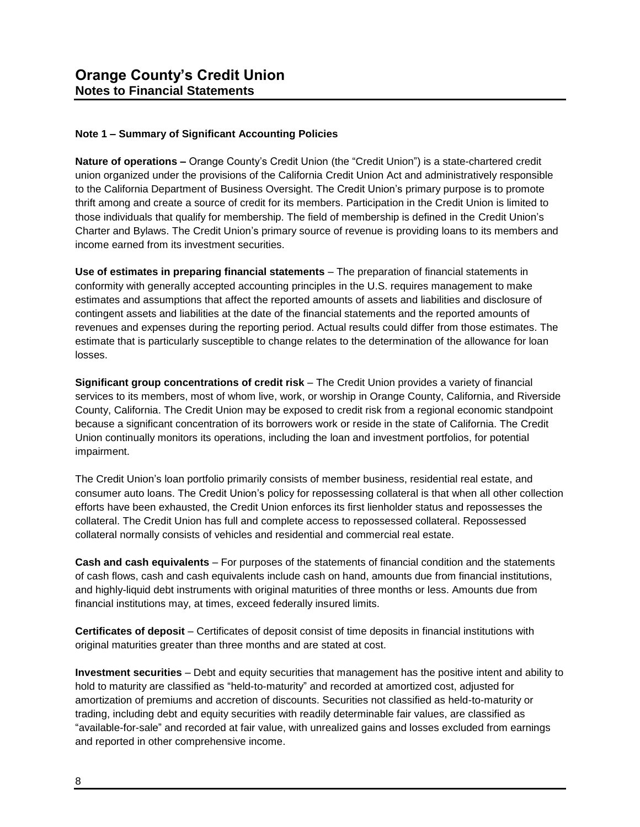#### <span id="page-9-0"></span>**Note 1 – Summary of Significant Accounting Policies**

**Nature of operations –** Orange County's Credit Union (the "Credit Union") is a state-chartered credit union organized under the provisions of the California Credit Union Act and administratively responsible to the California Department of Business Oversight. The Credit Union's primary purpose is to promote thrift among and create a source of credit for its members. Participation in the Credit Union is limited to those individuals that qualify for membership. The field of membership is defined in the Credit Union's Charter and Bylaws. The Credit Union's primary source of revenue is providing loans to its members and income earned from its investment securities.

**Use of estimates in preparing financial statements** – The preparation of financial statements in conformity with generally accepted accounting principles in the U.S. requires management to make estimates and assumptions that affect the reported amounts of assets and liabilities and disclosure of contingent assets and liabilities at the date of the financial statements and the reported amounts of revenues and expenses during the reporting period. Actual results could differ from those estimates. The estimate that is particularly susceptible to change relates to the determination of the allowance for loan losses.

**Significant group concentrations of credit risk** – The Credit Union provides a variety of financial services to its members, most of whom live, work, or worship in Orange County, California, and Riverside County, California. The Credit Union may be exposed to credit risk from a regional economic standpoint because a significant concentration of its borrowers work or reside in the state of California. The Credit Union continually monitors its operations, including the loan and investment portfolios, for potential impairment.

The Credit Union's loan portfolio primarily consists of member business, residential real estate, and consumer auto loans. The Credit Union's policy for repossessing collateral is that when all other collection efforts have been exhausted, the Credit Union enforces its first lienholder status and repossesses the collateral. The Credit Union has full and complete access to repossessed collateral. Repossessed collateral normally consists of vehicles and residential and commercial real estate.

**Cash and cash equivalents** – For purposes of the statements of financial condition and the statements of cash flows, cash and cash equivalents include cash on hand, amounts due from financial institutions, and highly-liquid debt instruments with original maturities of three months or less. Amounts due from financial institutions may, at times, exceed federally insured limits.

**Certificates of deposit** – Certificates of deposit consist of time deposits in financial institutions with original maturities greater than three months and are stated at cost.

**Investment securities** – Debt and equity securities that management has the positive intent and ability to hold to maturity are classified as "held-to-maturity" and recorded at amortized cost, adjusted for amortization of premiums and accretion of discounts. Securities not classified as held-to-maturity or trading, including debt and equity securities with readily determinable fair values, are classified as "available-for-sale" and recorded at fair value, with unrealized gains and losses excluded from earnings and reported in other comprehensive income.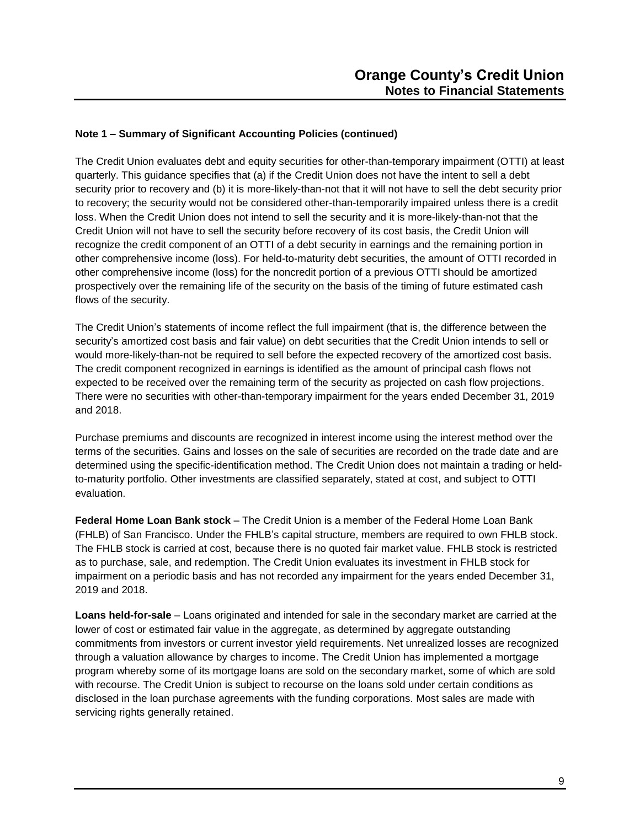The Credit Union evaluates debt and equity securities for other-than-temporary impairment (OTTI) at least quarterly. This guidance specifies that (a) if the Credit Union does not have the intent to sell a debt security prior to recovery and (b) it is more-likely-than-not that it will not have to sell the debt security prior to recovery; the security would not be considered other-than-temporarily impaired unless there is a credit loss. When the Credit Union does not intend to sell the security and it is more-likely-than-not that the Credit Union will not have to sell the security before recovery of its cost basis, the Credit Union will recognize the credit component of an OTTI of a debt security in earnings and the remaining portion in other comprehensive income (loss). For held-to-maturity debt securities, the amount of OTTI recorded in other comprehensive income (loss) for the noncredit portion of a previous OTTI should be amortized prospectively over the remaining life of the security on the basis of the timing of future estimated cash flows of the security.

The Credit Union's statements of income reflect the full impairment (that is, the difference between the security's amortized cost basis and fair value) on debt securities that the Credit Union intends to sell or would more-likely-than-not be required to sell before the expected recovery of the amortized cost basis. The credit component recognized in earnings is identified as the amount of principal cash flows not expected to be received over the remaining term of the security as projected on cash flow projections. There were no securities with other-than-temporary impairment for the years ended December 31, 2019 and 2018.

Purchase premiums and discounts are recognized in interest income using the interest method over the terms of the securities. Gains and losses on the sale of securities are recorded on the trade date and are determined using the specific-identification method. The Credit Union does not maintain a trading or heldto-maturity portfolio. Other investments are classified separately, stated at cost, and subject to OTTI evaluation.

**Federal Home Loan Bank stock** – The Credit Union is a member of the Federal Home Loan Bank (FHLB) of San Francisco. Under the FHLB's capital structure, members are required to own FHLB stock. The FHLB stock is carried at cost, because there is no quoted fair market value. FHLB stock is restricted as to purchase, sale, and redemption. The Credit Union evaluates its investment in FHLB stock for impairment on a periodic basis and has not recorded any impairment for the years ended December 31, 2019 and 2018.

**Loans held-for-sale** – Loans originated and intended for sale in the secondary market are carried at the lower of cost or estimated fair value in the aggregate, as determined by aggregate outstanding commitments from investors or current investor yield requirements. Net unrealized losses are recognized through a valuation allowance by charges to income. The Credit Union has implemented a mortgage program whereby some of its mortgage loans are sold on the secondary market, some of which are sold with recourse. The Credit Union is subject to recourse on the loans sold under certain conditions as disclosed in the loan purchase agreements with the funding corporations. Most sales are made with servicing rights generally retained.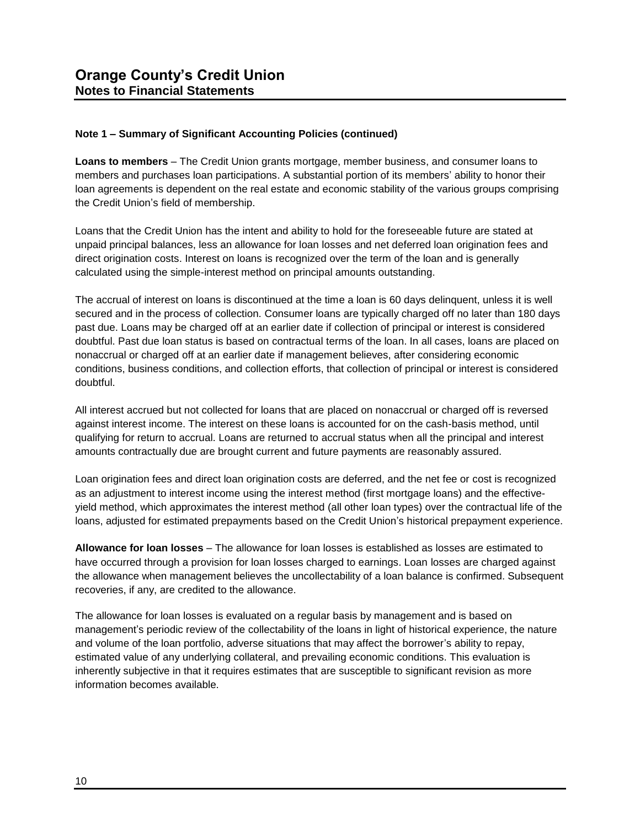**Loans to members** – The Credit Union grants mortgage, member business, and consumer loans to members and purchases loan participations. A substantial portion of its members' ability to honor their loan agreements is dependent on the real estate and economic stability of the various groups comprising the Credit Union's field of membership.

Loans that the Credit Union has the intent and ability to hold for the foreseeable future are stated at unpaid principal balances, less an allowance for loan losses and net deferred loan origination fees and direct origination costs. Interest on loans is recognized over the term of the loan and is generally calculated using the simple-interest method on principal amounts outstanding.

The accrual of interest on loans is discontinued at the time a loan is 60 days delinquent, unless it is well secured and in the process of collection. Consumer loans are typically charged off no later than 180 days past due. Loans may be charged off at an earlier date if collection of principal or interest is considered doubtful. Past due loan status is based on contractual terms of the loan. In all cases, loans are placed on nonaccrual or charged off at an earlier date if management believes, after considering economic conditions, business conditions, and collection efforts, that collection of principal or interest is considered doubtful.

All interest accrued but not collected for loans that are placed on nonaccrual or charged off is reversed against interest income. The interest on these loans is accounted for on the cash-basis method, until qualifying for return to accrual. Loans are returned to accrual status when all the principal and interest amounts contractually due are brought current and future payments are reasonably assured.

Loan origination fees and direct loan origination costs are deferred, and the net fee or cost is recognized as an adjustment to interest income using the interest method (first mortgage loans) and the effectiveyield method, which approximates the interest method (all other loan types) over the contractual life of the loans, adjusted for estimated prepayments based on the Credit Union's historical prepayment experience.

**Allowance for loan losses** – The allowance for loan losses is established as losses are estimated to have occurred through a provision for loan losses charged to earnings. Loan losses are charged against the allowance when management believes the uncollectability of a loan balance is confirmed. Subsequent recoveries, if any, are credited to the allowance.

The allowance for loan losses is evaluated on a regular basis by management and is based on management's periodic review of the collectability of the loans in light of historical experience, the nature and volume of the loan portfolio, adverse situations that may affect the borrower's ability to repay, estimated value of any underlying collateral, and prevailing economic conditions. This evaluation is inherently subjective in that it requires estimates that are susceptible to significant revision as more information becomes available.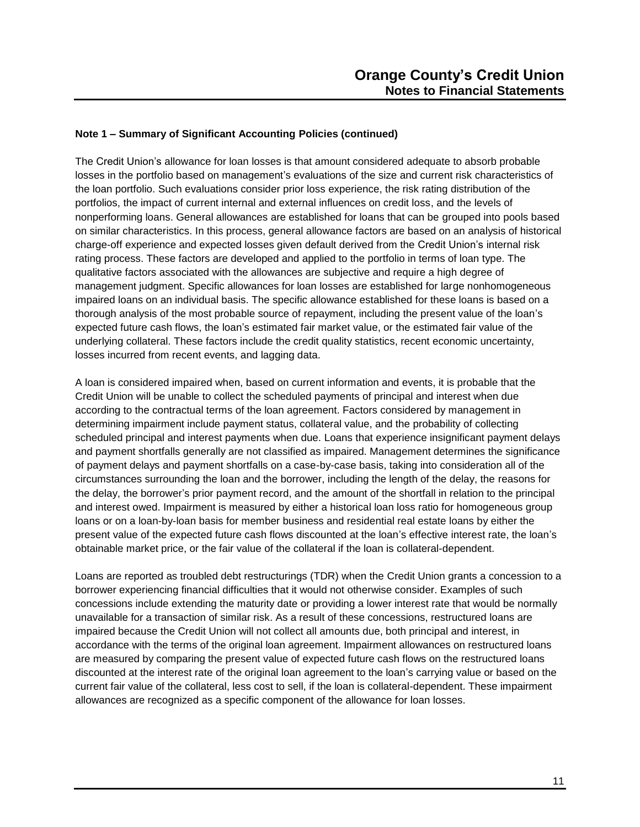The Credit Union's allowance for loan losses is that amount considered adequate to absorb probable losses in the portfolio based on management's evaluations of the size and current risk characteristics of the loan portfolio. Such evaluations consider prior loss experience, the risk rating distribution of the portfolios, the impact of current internal and external influences on credit loss, and the levels of nonperforming loans. General allowances are established for loans that can be grouped into pools based on similar characteristics. In this process, general allowance factors are based on an analysis of historical charge-off experience and expected losses given default derived from the Credit Union's internal risk rating process. These factors are developed and applied to the portfolio in terms of loan type. The qualitative factors associated with the allowances are subjective and require a high degree of management judgment. Specific allowances for loan losses are established for large nonhomogeneous impaired loans on an individual basis. The specific allowance established for these loans is based on a thorough analysis of the most probable source of repayment, including the present value of the loan's expected future cash flows, the loan's estimated fair market value, or the estimated fair value of the underlying collateral. These factors include the credit quality statistics, recent economic uncertainty, losses incurred from recent events, and lagging data.

A loan is considered impaired when, based on current information and events, it is probable that the Credit Union will be unable to collect the scheduled payments of principal and interest when due according to the contractual terms of the loan agreement. Factors considered by management in determining impairment include payment status, collateral value, and the probability of collecting scheduled principal and interest payments when due. Loans that experience insignificant payment delays and payment shortfalls generally are not classified as impaired. Management determines the significance of payment delays and payment shortfalls on a case-by-case basis, taking into consideration all of the circumstances surrounding the loan and the borrower, including the length of the delay, the reasons for the delay, the borrower's prior payment record, and the amount of the shortfall in relation to the principal and interest owed. Impairment is measured by either a historical loan loss ratio for homogeneous group loans or on a loan-by-loan basis for member business and residential real estate loans by either the present value of the expected future cash flows discounted at the loan's effective interest rate, the loan's obtainable market price, or the fair value of the collateral if the loan is collateral-dependent.

Loans are reported as troubled debt restructurings (TDR) when the Credit Union grants a concession to a borrower experiencing financial difficulties that it would not otherwise consider. Examples of such concessions include extending the maturity date or providing a lower interest rate that would be normally unavailable for a transaction of similar risk. As a result of these concessions, restructured loans are impaired because the Credit Union will not collect all amounts due, both principal and interest, in accordance with the terms of the original loan agreement. Impairment allowances on restructured loans are measured by comparing the present value of expected future cash flows on the restructured loans discounted at the interest rate of the original loan agreement to the loan's carrying value or based on the current fair value of the collateral, less cost to sell, if the loan is collateral-dependent. These impairment allowances are recognized as a specific component of the allowance for loan losses.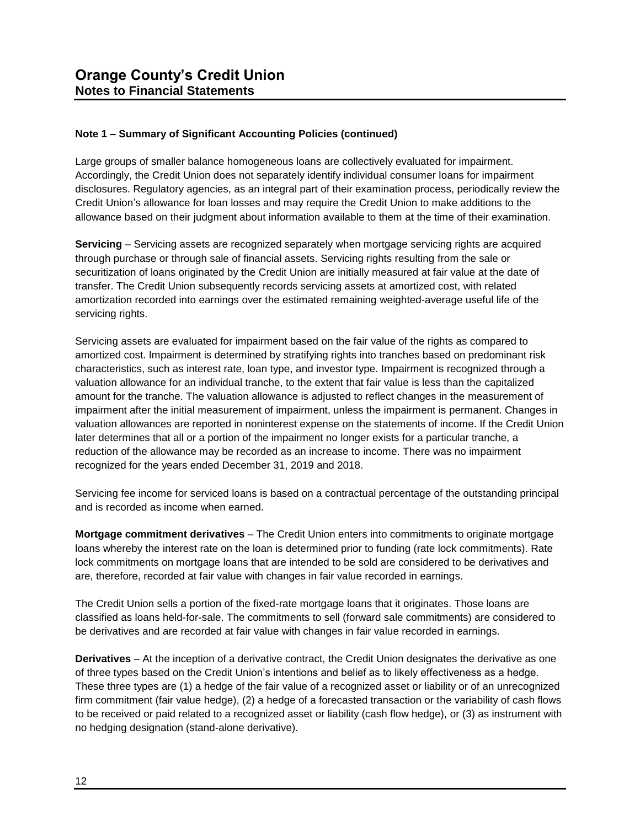Large groups of smaller balance homogeneous loans are collectively evaluated for impairment. Accordingly, the Credit Union does not separately identify individual consumer loans for impairment disclosures. Regulatory agencies, as an integral part of their examination process, periodically review the Credit Union's allowance for loan losses and may require the Credit Union to make additions to the allowance based on their judgment about information available to them at the time of their examination.

**Servicing** – Servicing assets are recognized separately when mortgage servicing rights are acquired through purchase or through sale of financial assets. Servicing rights resulting from the sale or securitization of loans originated by the Credit Union are initially measured at fair value at the date of transfer. The Credit Union subsequently records servicing assets at amortized cost, with related amortization recorded into earnings over the estimated remaining weighted-average useful life of the servicing rights.

Servicing assets are evaluated for impairment based on the fair value of the rights as compared to amortized cost. Impairment is determined by stratifying rights into tranches based on predominant risk characteristics, such as interest rate, loan type, and investor type. Impairment is recognized through a valuation allowance for an individual tranche, to the extent that fair value is less than the capitalized amount for the tranche. The valuation allowance is adjusted to reflect changes in the measurement of impairment after the initial measurement of impairment, unless the impairment is permanent. Changes in valuation allowances are reported in noninterest expense on the statements of income. If the Credit Union later determines that all or a portion of the impairment no longer exists for a particular tranche, a reduction of the allowance may be recorded as an increase to income. There was no impairment recognized for the years ended December 31, 2019 and 2018.

Servicing fee income for serviced loans is based on a contractual percentage of the outstanding principal and is recorded as income when earned.

**Mortgage commitment derivatives** – The Credit Union enters into commitments to originate mortgage loans whereby the interest rate on the loan is determined prior to funding (rate lock commitments). Rate lock commitments on mortgage loans that are intended to be sold are considered to be derivatives and are, therefore, recorded at fair value with changes in fair value recorded in earnings.

The Credit Union sells a portion of the fixed-rate mortgage loans that it originates. Those loans are classified as loans held-for-sale. The commitments to sell (forward sale commitments) are considered to be derivatives and are recorded at fair value with changes in fair value recorded in earnings.

**Derivatives** – At the inception of a derivative contract, the Credit Union designates the derivative as one of three types based on the Credit Union's intentions and belief as to likely effectiveness as a hedge. These three types are (1) a hedge of the fair value of a recognized asset or liability or of an unrecognized firm commitment (fair value hedge), (2) a hedge of a forecasted transaction or the variability of cash flows to be received or paid related to a recognized asset or liability (cash flow hedge), or (3) as instrument with no hedging designation (stand-alone derivative).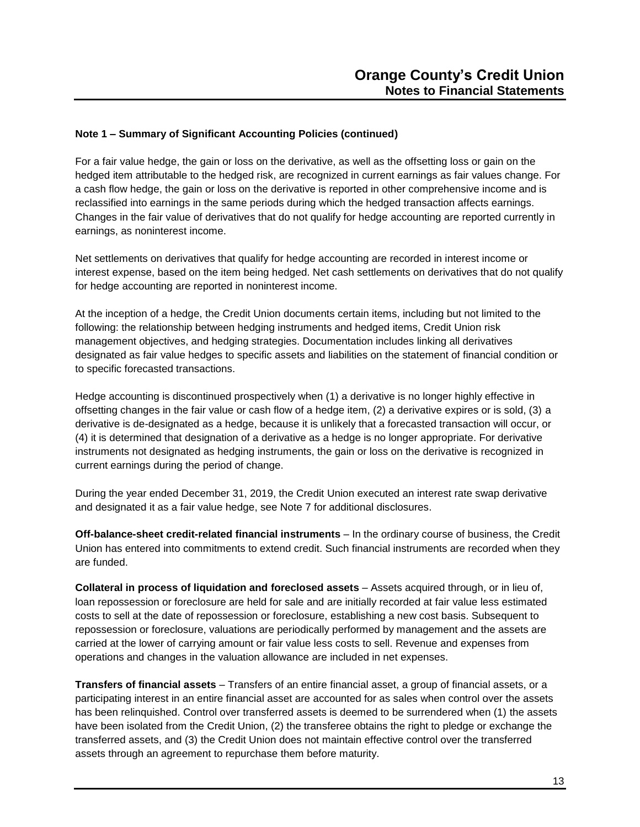For a fair value hedge, the gain or loss on the derivative, as well as the offsetting loss or gain on the hedged item attributable to the hedged risk, are recognized in current earnings as fair values change. For a cash flow hedge, the gain or loss on the derivative is reported in other comprehensive income and is reclassified into earnings in the same periods during which the hedged transaction affects earnings. Changes in the fair value of derivatives that do not qualify for hedge accounting are reported currently in earnings, as noninterest income.

Net settlements on derivatives that qualify for hedge accounting are recorded in interest income or interest expense, based on the item being hedged. Net cash settlements on derivatives that do not qualify for hedge accounting are reported in noninterest income.

At the inception of a hedge, the Credit Union documents certain items, including but not limited to the following: the relationship between hedging instruments and hedged items, Credit Union risk management objectives, and hedging strategies. Documentation includes linking all derivatives designated as fair value hedges to specific assets and liabilities on the statement of financial condition or to specific forecasted transactions.

Hedge accounting is discontinued prospectively when (1) a derivative is no longer highly effective in offsetting changes in the fair value or cash flow of a hedge item, (2) a derivative expires or is sold, (3) a derivative is de-designated as a hedge, because it is unlikely that a forecasted transaction will occur, or (4) it is determined that designation of a derivative as a hedge is no longer appropriate. For derivative instruments not designated as hedging instruments, the gain or loss on the derivative is recognized in current earnings during the period of change.

During the year ended December 31, 2019, the Credit Union executed an interest rate swap derivative and designated it as a fair value hedge, see Note 7 for additional disclosures.

**Off-balance-sheet credit-related financial instruments** – In the ordinary course of business, the Credit Union has entered into commitments to extend credit. Such financial instruments are recorded when they are funded.

**Collateral in process of liquidation and foreclosed assets** – Assets acquired through, or in lieu of, loan repossession or foreclosure are held for sale and are initially recorded at fair value less estimated costs to sell at the date of repossession or foreclosure, establishing a new cost basis. Subsequent to repossession or foreclosure, valuations are periodically performed by management and the assets are carried at the lower of carrying amount or fair value less costs to sell. Revenue and expenses from operations and changes in the valuation allowance are included in net expenses.

**Transfers of financial assets** – Transfers of an entire financial asset, a group of financial assets, or a participating interest in an entire financial asset are accounted for as sales when control over the assets has been relinquished. Control over transferred assets is deemed to be surrendered when (1) the assets have been isolated from the Credit Union, (2) the transferee obtains the right to pledge or exchange the transferred assets, and (3) the Credit Union does not maintain effective control over the transferred assets through an agreement to repurchase them before maturity.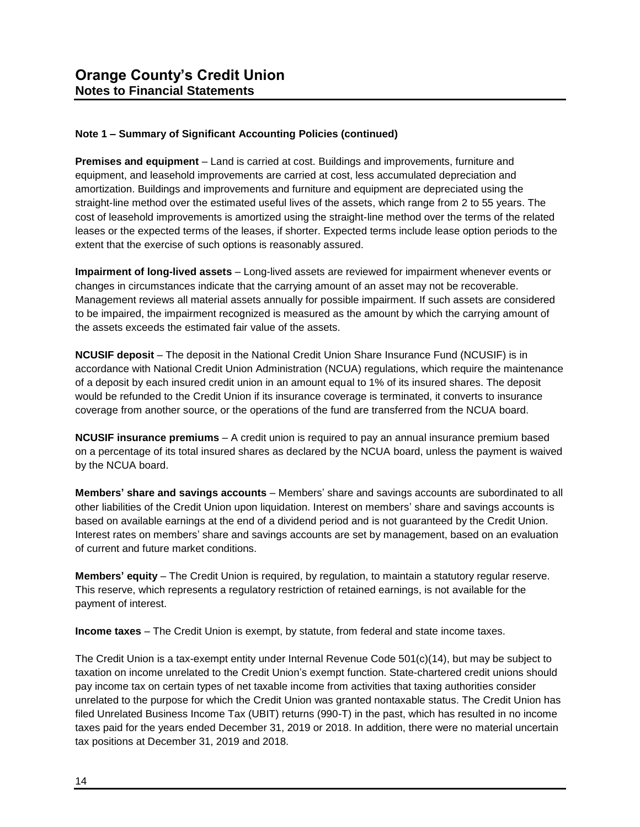**Premises and equipment** – Land is carried at cost. Buildings and improvements, furniture and equipment, and leasehold improvements are carried at cost, less accumulated depreciation and amortization. Buildings and improvements and furniture and equipment are depreciated using the straight-line method over the estimated useful lives of the assets, which range from 2 to 55 years. The cost of leasehold improvements is amortized using the straight-line method over the terms of the related leases or the expected terms of the leases, if shorter. Expected terms include lease option periods to the extent that the exercise of such options is reasonably assured.

**Impairment of long-lived assets** – Long-lived assets are reviewed for impairment whenever events or changes in circumstances indicate that the carrying amount of an asset may not be recoverable. Management reviews all material assets annually for possible impairment. If such assets are considered to be impaired, the impairment recognized is measured as the amount by which the carrying amount of the assets exceeds the estimated fair value of the assets.

**NCUSIF deposit** – The deposit in the National Credit Union Share Insurance Fund (NCUSIF) is in accordance with National Credit Union Administration (NCUA) regulations, which require the maintenance of a deposit by each insured credit union in an amount equal to 1% of its insured shares. The deposit would be refunded to the Credit Union if its insurance coverage is terminated, it converts to insurance coverage from another source, or the operations of the fund are transferred from the NCUA board.

**NCUSIF insurance premiums** – A credit union is required to pay an annual insurance premium based on a percentage of its total insured shares as declared by the NCUA board, unless the payment is waived by the NCUA board.

**Members' share and savings accounts** – Members' share and savings accounts are subordinated to all other liabilities of the Credit Union upon liquidation. Interest on members' share and savings accounts is based on available earnings at the end of a dividend period and is not guaranteed by the Credit Union. Interest rates on members' share and savings accounts are set by management, based on an evaluation of current and future market conditions.

**Members' equity** – The Credit Union is required, by regulation, to maintain a statutory regular reserve. This reserve, which represents a regulatory restriction of retained earnings, is not available for the payment of interest.

**Income taxes** – The Credit Union is exempt, by statute, from federal and state income taxes.

The Credit Union is a tax-exempt entity under Internal Revenue Code 501(c)(14), but may be subject to taxation on income unrelated to the Credit Union's exempt function. State-chartered credit unions should pay income tax on certain types of net taxable income from activities that taxing authorities consider unrelated to the purpose for which the Credit Union was granted nontaxable status. The Credit Union has filed Unrelated Business Income Tax (UBIT) returns (990-T) in the past, which has resulted in no income taxes paid for the years ended December 31, 2019 or 2018. In addition, there were no material uncertain tax positions at December 31, 2019 and 2018.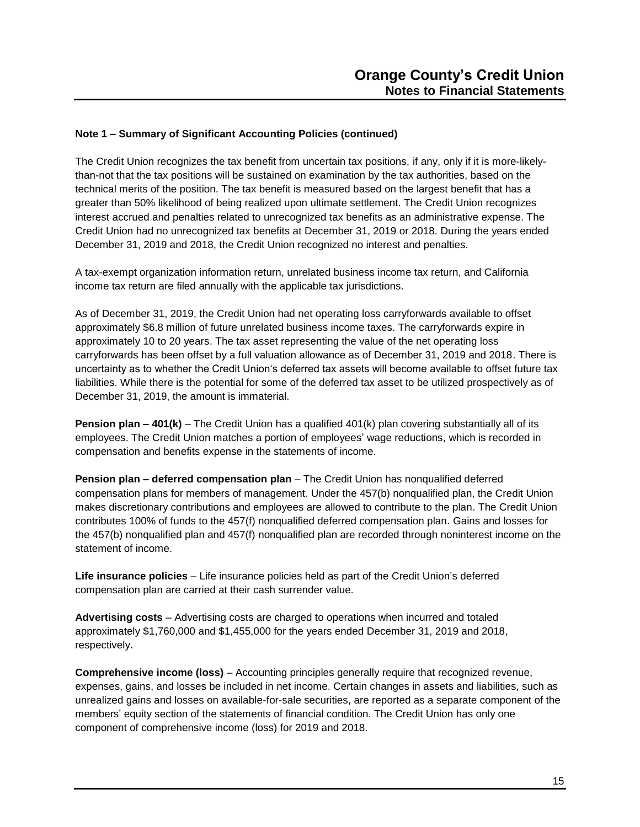The Credit Union recognizes the tax benefit from uncertain tax positions, if any, only if it is more-likelythan-not that the tax positions will be sustained on examination by the tax authorities, based on the technical merits of the position. The tax benefit is measured based on the largest benefit that has a greater than 50% likelihood of being realized upon ultimate settlement. The Credit Union recognizes interest accrued and penalties related to unrecognized tax benefits as an administrative expense. The Credit Union had no unrecognized tax benefits at December 31, 2019 or 2018. During the years ended December 31, 2019 and 2018, the Credit Union recognized no interest and penalties.

A tax-exempt organization information return, unrelated business income tax return, and California income tax return are filed annually with the applicable tax jurisdictions.

As of December 31, 2019, the Credit Union had net operating loss carryforwards available to offset approximately \$6.8 million of future unrelated business income taxes. The carryforwards expire in approximately 10 to 20 years. The tax asset representing the value of the net operating loss carryforwards has been offset by a full valuation allowance as of December 31, 2019 and 2018. There is uncertainty as to whether the Credit Union's deferred tax assets will become available to offset future tax liabilities. While there is the potential for some of the deferred tax asset to be utilized prospectively as of December 31, 2019, the amount is immaterial.

**Pension plan – 401(k)** – The Credit Union has a qualified 401(k) plan covering substantially all of its employees. The Credit Union matches a portion of employees' wage reductions, which is recorded in compensation and benefits expense in the statements of income.

**Pension plan – deferred compensation plan** – The Credit Union has nonqualified deferred compensation plans for members of management. Under the 457(b) nonqualified plan, the Credit Union makes discretionary contributions and employees are allowed to contribute to the plan. The Credit Union contributes 100% of funds to the 457(f) nonqualified deferred compensation plan. Gains and losses for the 457(b) nonqualified plan and 457(f) nonqualified plan are recorded through noninterest income on the statement of income.

**Life insurance policies** – Life insurance policies held as part of the Credit Union's deferred compensation plan are carried at their cash surrender value.

**Advertising costs** – Advertising costs are charged to operations when incurred and totaled approximately \$1,760,000 and \$1,455,000 for the years ended December 31, 2019 and 2018, respectively.

**Comprehensive income (loss)** – Accounting principles generally require that recognized revenue, expenses, gains, and losses be included in net income. Certain changes in assets and liabilities, such as unrealized gains and losses on available-for-sale securities, are reported as a separate component of the members' equity section of the statements of financial condition. The Credit Union has only one component of comprehensive income (loss) for 2019 and 2018.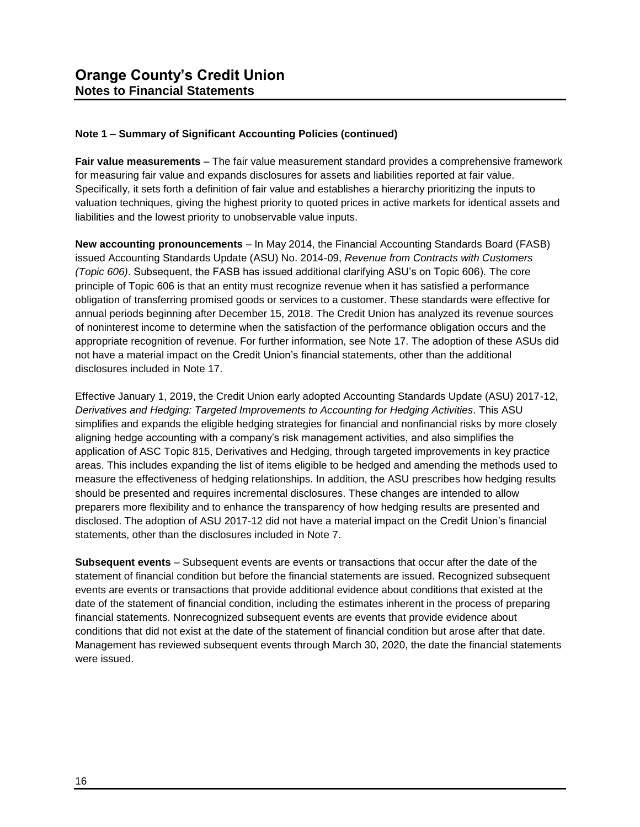**Fair value measurements** – The fair value measurement standard provides a comprehensive framework for measuring fair value and expands disclosures for assets and liabilities reported at fair value. Specifically, it sets forth a definition of fair value and establishes a hierarchy prioritizing the inputs to valuation techniques, giving the highest priority to quoted prices in active markets for identical assets and liabilities and the lowest priority to unobservable value inputs.

**New accounting pronouncements** – In May 2014, the Financial Accounting Standards Board (FASB) issued Accounting Standards Update (ASU) No. 2014-09, *Revenue from Contracts with Customers (Topic 606)*. Subsequent, the FASB has issued additional clarifying ASU's on Topic 606). The core principle of Topic 606 is that an entity must recognize revenue when it has satisfied a performance obligation of transferring promised goods or services to a customer. These standards were effective for annual periods beginning after December 15, 2018. The Credit Union has analyzed its revenue sources of noninterest income to determine when the satisfaction of the performance obligation occurs and the appropriate recognition of revenue. For further information, see Note 17. The adoption of these ASUs did not have a material impact on the Credit Union's financial statements, other than the additional disclosures included in Note 17.

Effective January 1, 2019, the Credit Union early adopted Accounting Standards Update (ASU) 2017-12, *Derivatives and Hedging: Targeted Improvements to Accounting for Hedging Activities*. This ASU simplifies and expands the eligible hedging strategies for financial and nonfinancial risks by more closely aligning hedge accounting with a company's risk management activities, and also simplifies the application of ASC Topic 815, Derivatives and Hedging, through targeted improvements in key practice areas. This includes expanding the list of items eligible to be hedged and amending the methods used to measure the effectiveness of hedging relationships. In addition, the ASU prescribes how hedging results should be presented and requires incremental disclosures. These changes are intended to allow preparers more flexibility and to enhance the transparency of how hedging results are presented and disclosed. The adoption of ASU 2017-12 did not have a material impact on the Credit Union's financial statements, other than the disclosures included in Note 7.

**Subsequent events** – Subsequent events are events or transactions that occur after the date of the statement of financial condition but before the financial statements are issued. Recognized subsequent events are events or transactions that provide additional evidence about conditions that existed at the date of the statement of financial condition, including the estimates inherent in the process of preparing financial statements. Nonrecognized subsequent events are events that provide evidence about conditions that did not exist at the date of the statement of financial condition but arose after that date. Management has reviewed subsequent events through March 30, 2020, the date the financial statements were issued.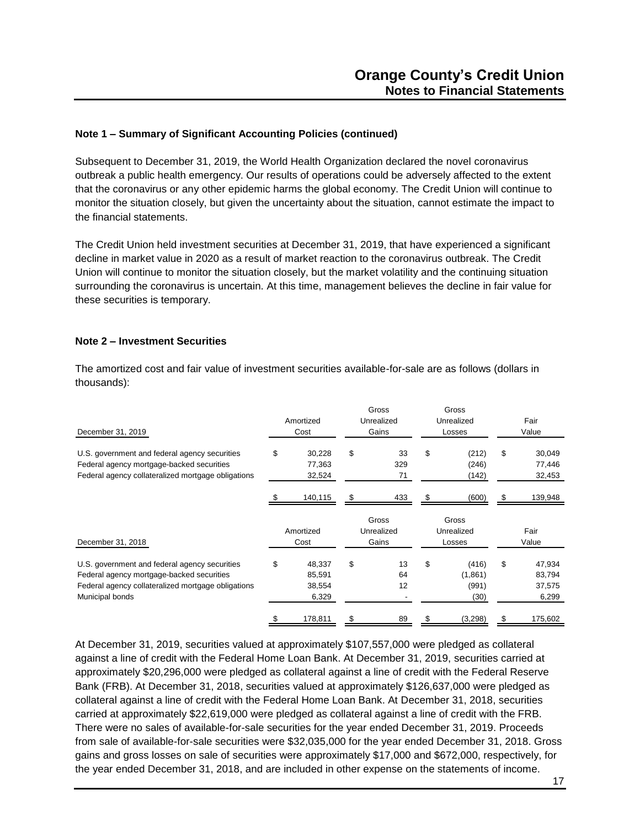Subsequent to December 31, 2019, the World Health Organization declared the novel coronavirus outbreak a public health emergency. Our results of operations could be adversely affected to the extent that the coronavirus or any other epidemic harms the global economy. The Credit Union will continue to monitor the situation closely, but given the uncertainty about the situation, cannot estimate the impact to the financial statements.

The Credit Union held investment securities at December 31, 2019, that have experienced a significant decline in market value in 2020 as a result of market reaction to the coronavirus outbreak. The Credit Union will continue to monitor the situation closely, but the market volatility and the continuing situation surrounding the coronavirus is uncertain. At this time, management believes the decline in fair value for these securities is temporary.

#### **Note 2 – Investment Securities**

The amortized cost and fair value of investment securities available-for-sale are as follows (dollars in thousands):

| December 31, 2019                                                                                                                                                   |                   | Amortized<br>Cost                   |    | Gross<br>Unrealized<br>Gains |                              | Gross<br>Unrealized<br>Losses     |                               | Fair<br>Value                       |               |  |
|---------------------------------------------------------------------------------------------------------------------------------------------------------------------|-------------------|-------------------------------------|----|------------------------------|------------------------------|-----------------------------------|-------------------------------|-------------------------------------|---------------|--|
| U.S. government and federal agency securities<br>Federal agency mortgage-backed securities<br>Federal agency collateralized mortgage obligations                    | \$                | 30,228<br>77,363<br>32,524          | \$ | 33<br>329<br>71              | \$                           | (212)<br>(246)<br>(142)           | \$                            | 30,049<br>77,446<br>32,453          |               |  |
|                                                                                                                                                                     |                   | 140,115                             | \$ | 433                          | S                            | (600)                             | S                             | 139,948                             |               |  |
| December 31, 2018                                                                                                                                                   | Amortized<br>Cost |                                     |    |                              | Gross<br>Unrealized<br>Gains |                                   | Gross<br>Unrealized<br>Losses |                                     | Fair<br>Value |  |
| U.S. government and federal agency securities<br>Federal agency mortgage-backed securities<br>Federal agency collateralized mortgage obligations<br>Municipal bonds | \$                | 48,337<br>85,591<br>38,554<br>6,329 | \$ | 13<br>64<br>12               | \$                           | (416)<br>(1,861)<br>(991)<br>(30) | \$                            | 47,934<br>83,794<br>37,575<br>6,299 |               |  |
|                                                                                                                                                                     |                   | 178,811                             | \$ | 89                           |                              | (3,298)                           | S                             | 175,602                             |               |  |

At December 31, 2019, securities valued at approximately \$107,557,000 were pledged as collateral against a line of credit with the Federal Home Loan Bank. At December 31, 2019, securities carried at approximately \$20,296,000 were pledged as collateral against a line of credit with the Federal Reserve Bank (FRB). At December 31, 2018, securities valued at approximately \$126,637,000 were pledged as collateral against a line of credit with the Federal Home Loan Bank. At December 31, 2018, securities carried at approximately \$22,619,000 were pledged as collateral against a line of credit with the FRB. There were no sales of available-for-sale securities for the year ended December 31, 2019. Proceeds from sale of available-for-sale securities were \$32,035,000 for the year ended December 31, 2018. Gross gains and gross losses on sale of securities were approximately \$17,000 and \$672,000, respectively, for the year ended December 31, 2018, and are included in other expense on the statements of income.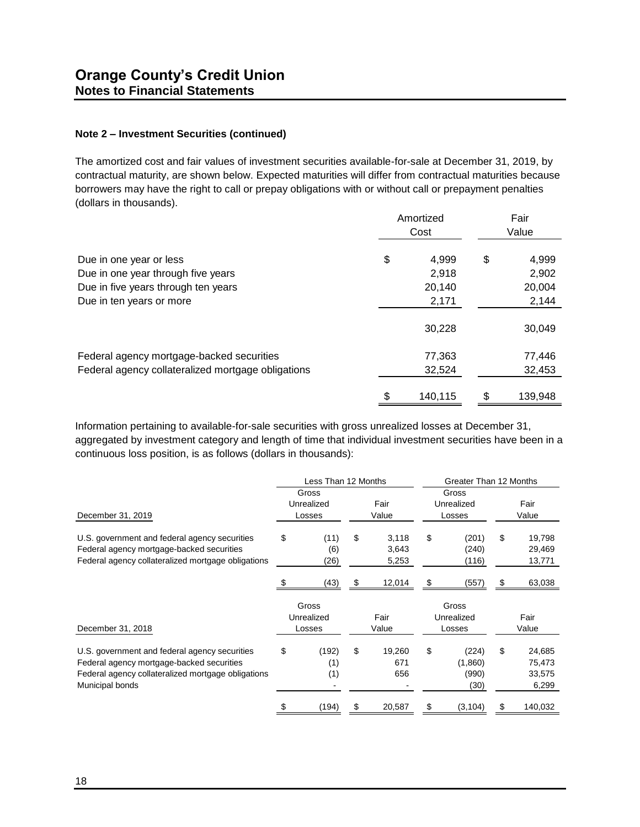#### **Note 2 – Investment Securities (continued)**

The amortized cost and fair values of investment securities available-for-sale at December 31, 2019, by contractual maturity, are shown below. Expected maturities will differ from contractual maturities because borrowers may have the right to call or prepay obligations with or without call or prepayment penalties (dollars in thousands).

|                                                                           | Amortized<br>Cost |                 |    | Fair<br>Value   |  |  |
|---------------------------------------------------------------------------|-------------------|-----------------|----|-----------------|--|--|
| Due in one year or less                                                   | \$                | 4,999           | \$ | 4,999           |  |  |
| Due in one year through five years<br>Due in five years through ten years |                   | 2,918<br>20,140 |    | 2,902<br>20,004 |  |  |
| Due in ten years or more                                                  |                   | 2,171           |    | 2,144           |  |  |
|                                                                           |                   | 30,228          |    | 30,049          |  |  |
| Federal agency mortgage-backed securities                                 |                   | 77,363          |    | 77,446          |  |  |
| Federal agency collateralized mortgage obligations                        |                   | 32,524          |    | 32,453          |  |  |
|                                                                           |                   | 140,115         | \$ | 139,948         |  |  |

Information pertaining to available-for-sale securities with gross unrealized losses at December 31, aggregated by investment category and length of time that individual investment securities have been in a continuous loss position, is as follows (dollars in thousands):

|                                                                                                                                                                     | Less Than 12 Months |                               |    |                         | Greater Than 12 Months |                                   |    |                                     |  |
|---------------------------------------------------------------------------------------------------------------------------------------------------------------------|---------------------|-------------------------------|----|-------------------------|------------------------|-----------------------------------|----|-------------------------------------|--|
| December 31, 2019                                                                                                                                                   |                     | Gross<br>Unrealized<br>Losses |    | Fair<br>Value           |                        | Gross<br>Unrealized<br>Losses     |    | Fair<br>Value                       |  |
| U.S. government and federal agency securities<br>Federal agency mortgage-backed securities<br>Federal agency collateralized mortgage obligations                    | \$                  | (11)<br>(6)<br>(26)           | \$ | 3,118<br>3,643<br>5,253 | \$                     | (201)<br>(240)<br>(116)           | \$ | 19,798<br>29,469<br>13,771          |  |
|                                                                                                                                                                     |                     | (43)                          | S  | 12,014                  | S                      | (557)                             | \$ | 63,038                              |  |
|                                                                                                                                                                     |                     | Gross                         |    |                         |                        | Gross                             |    |                                     |  |
| December 31, 2018                                                                                                                                                   |                     | Unrealized<br>Losses          |    | Fair<br>Value           |                        | Unrealized<br>Losses              |    | Fair<br>Value                       |  |
| U.S. government and federal agency securities<br>Federal agency mortgage-backed securities<br>Federal agency collateralized mortgage obligations<br>Municipal bonds | \$                  | (192)<br>(1)<br>(1)           | \$ | 19,260<br>671<br>656    | \$                     | (224)<br>(1,860)<br>(990)<br>(30) | \$ | 24,685<br>75,473<br>33,575<br>6,299 |  |
|                                                                                                                                                                     |                     | (194)                         |    | 20,587                  | S                      | (3, 104)                          | \$ | 140,032                             |  |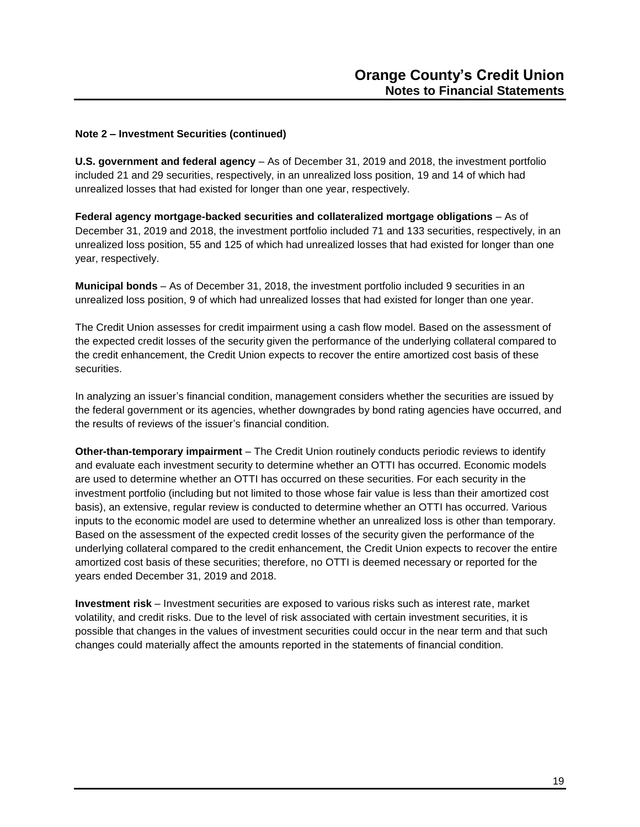# **Note 2 – Investment Securities (continued)**

**U.S. government and federal agency** – As of December 31, 2019 and 2018, the investment portfolio included 21 and 29 securities, respectively, in an unrealized loss position, 19 and 14 of which had unrealized losses that had existed for longer than one year, respectively.

**Federal agency mortgage-backed securities and collateralized mortgage obligations** – As of December 31, 2019 and 2018, the investment portfolio included 71 and 133 securities, respectively, in an unrealized loss position, 55 and 125 of which had unrealized losses that had existed for longer than one year, respectively.

**Municipal bonds** – As of December 31, 2018, the investment portfolio included 9 securities in an unrealized loss position, 9 of which had unrealized losses that had existed for longer than one year.

The Credit Union assesses for credit impairment using a cash flow model. Based on the assessment of the expected credit losses of the security given the performance of the underlying collateral compared to the credit enhancement, the Credit Union expects to recover the entire amortized cost basis of these securities.

In analyzing an issuer's financial condition, management considers whether the securities are issued by the federal government or its agencies, whether downgrades by bond rating agencies have occurred, and the results of reviews of the issuer's financial condition.

**Other-than-temporary impairment** – The Credit Union routinely conducts periodic reviews to identify and evaluate each investment security to determine whether an OTTI has occurred. Economic models are used to determine whether an OTTI has occurred on these securities. For each security in the investment portfolio (including but not limited to those whose fair value is less than their amortized cost basis), an extensive, regular review is conducted to determine whether an OTTI has occurred. Various inputs to the economic model are used to determine whether an unrealized loss is other than temporary. Based on the assessment of the expected credit losses of the security given the performance of the underlying collateral compared to the credit enhancement, the Credit Union expects to recover the entire amortized cost basis of these securities; therefore, no OTTI is deemed necessary or reported for the years ended December 31, 2019 and 2018.

**Investment risk** – Investment securities are exposed to various risks such as interest rate, market volatility, and credit risks. Due to the level of risk associated with certain investment securities, it is possible that changes in the values of investment securities could occur in the near term and that such changes could materially affect the amounts reported in the statements of financial condition.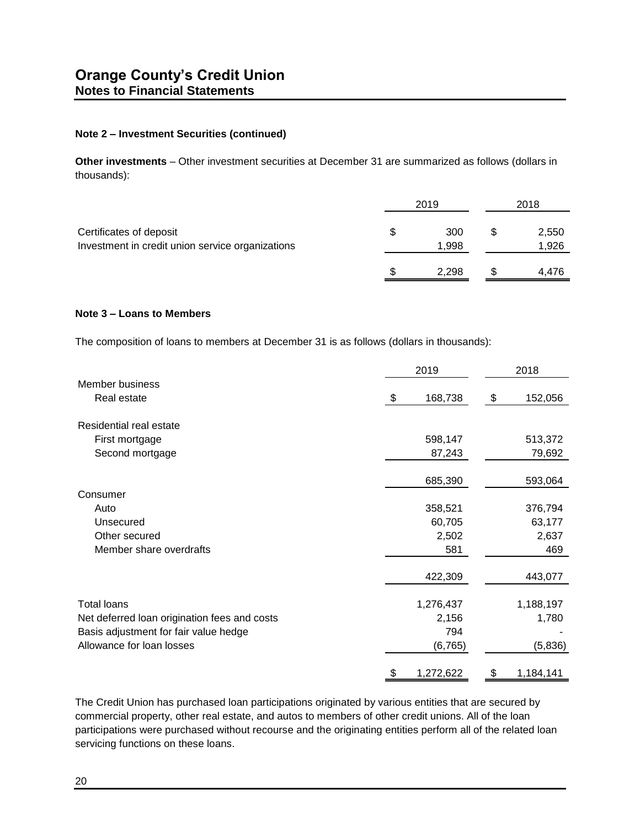#### **Note 2 – Investment Securities (continued)**

**Other investments** – Other investment securities at December 31 are summarized as follows (dollars in thousands):

|                                                                             | 2019 |              | 2018 |                |  |
|-----------------------------------------------------------------------------|------|--------------|------|----------------|--|
| Certificates of deposit<br>Investment in credit union service organizations |      | 300<br>1,998 | \$   | 2,550<br>1,926 |  |
|                                                                             |      | 2.298        | S    | 4.476          |  |

#### **Note 3 – Loans to Members**

The composition of loans to members at December 31 is as follows (dollars in thousands):

| 2019                                         |    |           |    | 2018      |  |  |  |
|----------------------------------------------|----|-----------|----|-----------|--|--|--|
| Member business                              |    |           |    |           |  |  |  |
| Real estate                                  | \$ | 168,738   | \$ | 152,056   |  |  |  |
| Residential real estate                      |    |           |    |           |  |  |  |
| First mortgage                               |    | 598,147   |    | 513,372   |  |  |  |
| Second mortgage                              |    | 87,243    |    | 79,692    |  |  |  |
|                                              |    | 685,390   |    | 593,064   |  |  |  |
| Consumer                                     |    |           |    |           |  |  |  |
| Auto                                         |    | 358,521   |    | 376,794   |  |  |  |
| Unsecured                                    |    | 60,705    |    | 63,177    |  |  |  |
| Other secured                                |    | 2,502     |    | 2,637     |  |  |  |
| Member share overdrafts                      |    | 581       |    | 469       |  |  |  |
|                                              |    | 422,309   |    | 443,077   |  |  |  |
| <b>Total loans</b>                           |    | 1,276,437 |    | 1,188,197 |  |  |  |
| Net deferred loan origination fees and costs |    | 2,156     |    | 1,780     |  |  |  |
| Basis adjustment for fair value hedge        |    | 794       |    |           |  |  |  |
| Allowance for loan losses                    |    | (6, 765)  |    | (5,836)   |  |  |  |
|                                              |    | 1,272,622 |    | 1,184,141 |  |  |  |

The Credit Union has purchased loan participations originated by various entities that are secured by commercial property, other real estate, and autos to members of other credit unions. All of the loan participations were purchased without recourse and the originating entities perform all of the related loan servicing functions on these loans.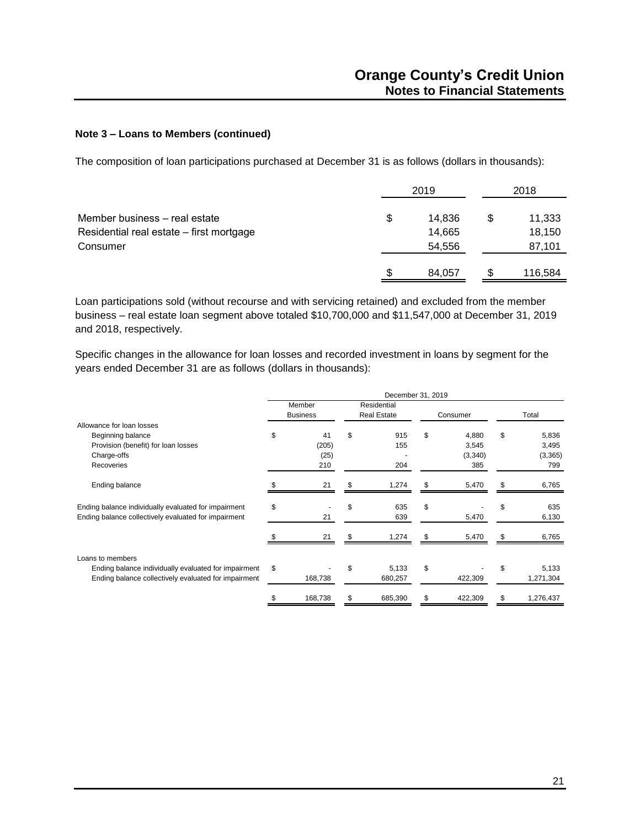The composition of loan participations purchased at December 31 is as follows (dollars in thousands):

|                                          | 2019 |        |     | 2018    |  |  |
|------------------------------------------|------|--------|-----|---------|--|--|
| Member business – real estate            | \$   | 14.836 | \$  | 11,333  |  |  |
| Residential real estate - first mortgage |      | 14,665 |     | 18,150  |  |  |
| Consumer                                 |      | 54,556 |     | 87,101  |  |  |
|                                          | S    | 84,057 | \$. | 116,584 |  |  |

Loan participations sold (without recourse and with servicing retained) and excluded from the member business – real estate loan segment above totaled \$10,700,000 and \$11,547,000 at December 31, 2019 and 2018, respectively.

Specific changes in the allowance for loan losses and recorded investment in loans by segment for the years ended December 31 are as follows (dollars in thousands):

|                                                      | December 31, 2019         |         |                                   |         |          |         |    |           |
|------------------------------------------------------|---------------------------|---------|-----------------------------------|---------|----------|---------|----|-----------|
|                                                      | Member<br><b>Business</b> |         | Residential<br><b>Real Estate</b> |         | Consumer |         |    | Total     |
| Allowance for loan losses                            |                           |         |                                   |         |          |         |    |           |
| Beginning balance                                    | \$                        | 41      | \$                                | 915     | \$       | 4,880   | \$ | 5,836     |
| Provision (benefit) for loan losses                  |                           | (205)   |                                   | 155     |          | 3,545   |    | 3,495     |
| Charge-offs                                          |                           | (25)    |                                   |         |          | (3,340) |    | (3, 365)  |
| Recoveries                                           |                           | 210     |                                   | 204     |          | 385     |    | 799       |
| Ending balance                                       |                           | 21      |                                   | 1,274   |          | 5,470   |    | 6,765     |
| Ending balance individually evaluated for impairment | \$                        |         | \$                                | 635     | \$       |         |    | 635       |
| Ending balance collectively evaluated for impairment |                           | 21      |                                   | 639     |          | 5,470   |    | 6,130     |
|                                                      |                           | 21      | \$                                | 1,274   | \$       | 5,470   |    | 6,765     |
| Loans to members                                     |                           |         |                                   |         |          |         |    |           |
| Ending balance individually evaluated for impairment | \$                        |         | \$                                | 5,133   | \$       |         | S  | 5,133     |
| Ending balance collectively evaluated for impairment |                           | 168,738 |                                   | 680,257 |          | 422,309 |    | 1,271,304 |
|                                                      |                           | 168,738 |                                   | 685,390 |          | 422,309 |    | 1,276,437 |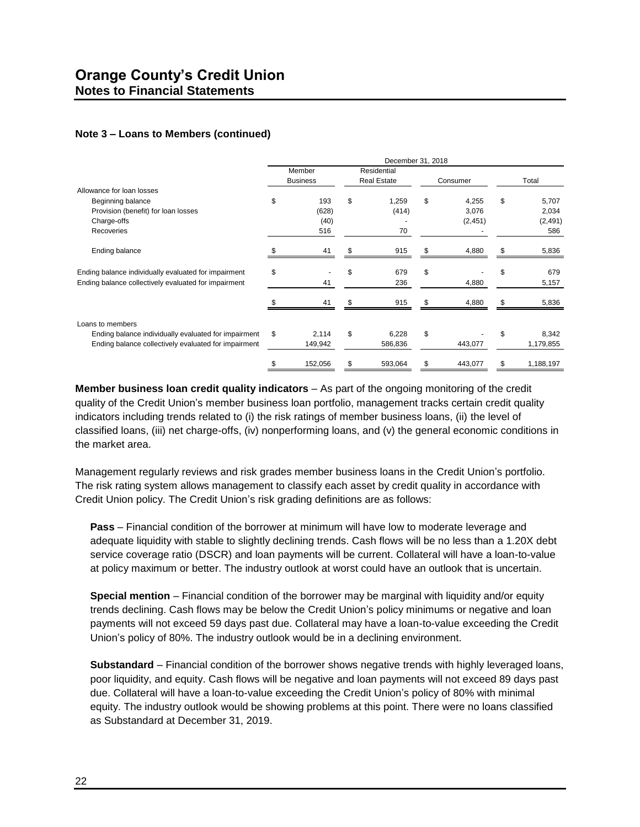|                                                      | December 31, 2018         |         |                                   |         |          |          |       |           |
|------------------------------------------------------|---------------------------|---------|-----------------------------------|---------|----------|----------|-------|-----------|
|                                                      | Member<br><b>Business</b> |         | Residential<br><b>Real Estate</b> |         | Consumer |          | Total |           |
| Allowance for loan losses                            |                           |         |                                   |         |          |          |       |           |
| Beginning balance                                    | \$                        | 193     | \$                                | 1,259   | \$       | 4,255    | \$    | 5,707     |
| Provision (benefit) for loan losses                  |                           | (628)   |                                   | (414)   |          | 3,076    |       | 2,034     |
| Charge-offs                                          |                           | (40)    |                                   |         |          | (2, 451) |       | (2, 491)  |
| Recoveries                                           |                           | 516     |                                   | 70      |          |          |       | 586       |
| Ending balance                                       |                           | 41      |                                   | 915     | \$       | 4,880    |       | 5,836     |
| Ending balance individually evaluated for impairment | \$                        |         | \$                                | 679     | \$       |          | S.    | 679       |
| Ending balance collectively evaluated for impairment |                           | 41      |                                   | 236     |          | 4,880    |       | 5,157     |
|                                                      |                           | 41      |                                   | 915     |          | 4,880    |       | 5,836     |
| Loans to members                                     |                           |         |                                   |         |          |          |       |           |
| Ending balance individually evaluated for impairment | \$                        | 2,114   | \$                                | 6,228   | \$       |          | \$    | 8,342     |
| Ending balance collectively evaluated for impairment |                           | 149,942 |                                   | 586,836 |          | 443,077  |       | 1,179,855 |
|                                                      |                           | 152,056 | \$                                | 593,064 | \$       | 443,077  | S     | 1,188,197 |

**Member business loan credit quality indicators** – As part of the ongoing monitoring of the credit quality of the Credit Union's member business loan portfolio, management tracks certain credit quality indicators including trends related to (i) the risk ratings of member business loans, (ii) the level of classified loans, (iii) net charge-offs, (iv) nonperforming loans, and (v) the general economic conditions in the market area.

Management regularly reviews and risk grades member business loans in the Credit Union's portfolio. The risk rating system allows management to classify each asset by credit quality in accordance with Credit Union policy. The Credit Union's risk grading definitions are as follows:

**Pass** – Financial condition of the borrower at minimum will have low to moderate leverage and adequate liquidity with stable to slightly declining trends. Cash flows will be no less than a 1.20X debt service coverage ratio (DSCR) and loan payments will be current. Collateral will have a loan-to-value at policy maximum or better. The industry outlook at worst could have an outlook that is uncertain.

**Special mention** – Financial condition of the borrower may be marginal with liquidity and/or equity trends declining. Cash flows may be below the Credit Union's policy minimums or negative and loan payments will not exceed 59 days past due. Collateral may have a loan-to-value exceeding the Credit Union's policy of 80%. The industry outlook would be in a declining environment.

**Substandard** – Financial condition of the borrower shows negative trends with highly leveraged loans, poor liquidity, and equity. Cash flows will be negative and loan payments will not exceed 89 days past due. Collateral will have a loan-to-value exceeding the Credit Union's policy of 80% with minimal equity. The industry outlook would be showing problems at this point. There were no loans classified as Substandard at December 31, 2019.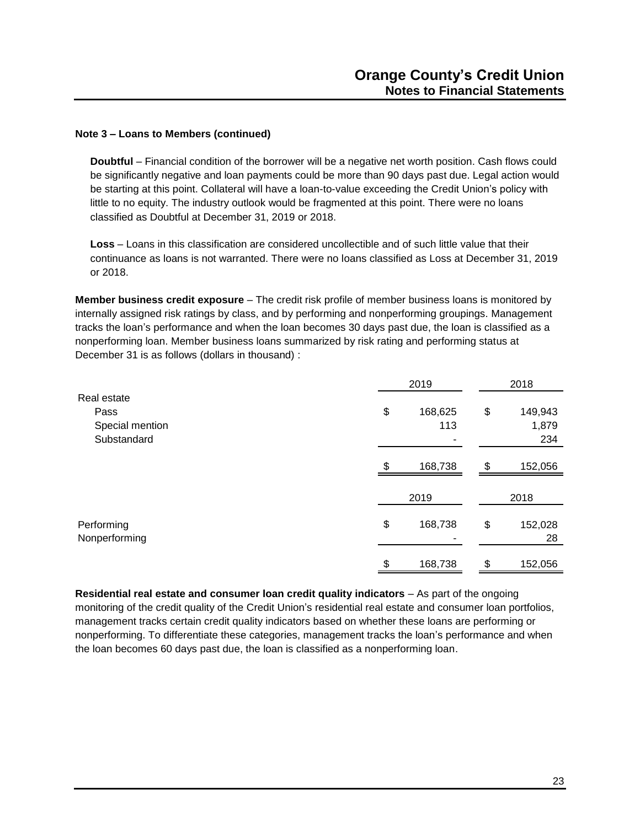**Doubtful** – Financial condition of the borrower will be a negative net worth position. Cash flows could be significantly negative and loan payments could be more than 90 days past due. Legal action would be starting at this point. Collateral will have a loan-to-value exceeding the Credit Union's policy with little to no equity. The industry outlook would be fragmented at this point. There were no loans classified as Doubtful at December 31, 2019 or 2018.

**Loss** – Loans in this classification are considered uncollectible and of such little value that their continuance as loans is not warranted. There were no loans classified as Loss at December 31, 2019 or 2018.

**Member business credit exposure** – The credit risk profile of member business loans is monitored by internally assigned risk ratings by class, and by performing and nonperforming groupings. Management tracks the loan's performance and when the loan becomes 30 days past due, the loan is classified as a nonperforming loan. Member business loans summarized by risk rating and performing status at December 31 is as follows (dollars in thousand) :

|                             | 2019 |         |     | 2018    |  |  |
|-----------------------------|------|---------|-----|---------|--|--|
| Real estate                 |      |         |     |         |  |  |
| Pass                        | \$   | 168,625 | \$  | 149,943 |  |  |
| Special mention             |      | 113     |     | 1,879   |  |  |
| Substandard                 |      |         |     | 234     |  |  |
|                             | \$   | 168,738 | \$  | 152,056 |  |  |
|                             |      | 2019    |     | 2018    |  |  |
| Performing<br>Nonperforming | \$   | 168,738 | \$  | 152,028 |  |  |
|                             |      |         |     | 28      |  |  |
|                             | \$   | 168,738 | \$. | 152,056 |  |  |

**Residential real estate and consumer loan credit quality indicators** – As part of the ongoing monitoring of the credit quality of the Credit Union's residential real estate and consumer loan portfolios, management tracks certain credit quality indicators based on whether these loans are performing or nonperforming. To differentiate these categories, management tracks the loan's performance and when the loan becomes 60 days past due, the loan is classified as a nonperforming loan.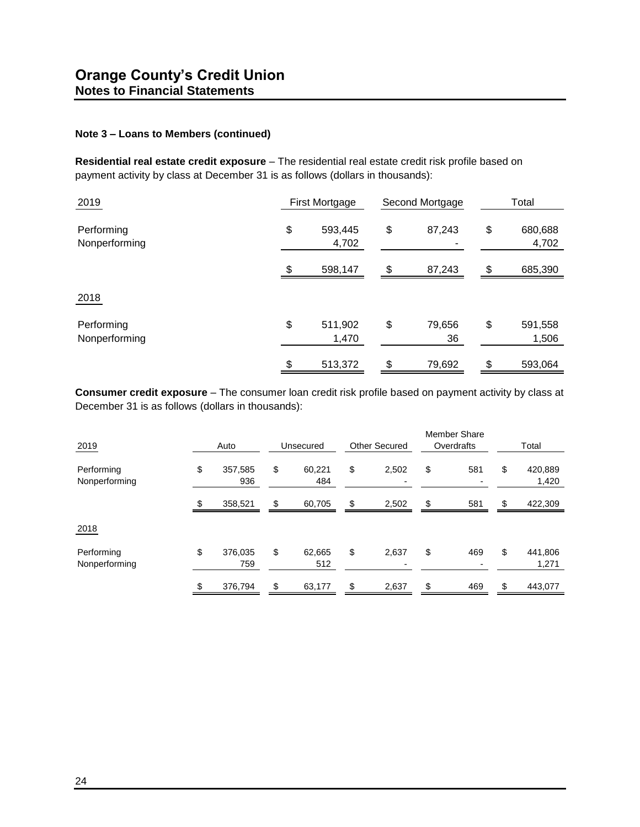**Residential real estate credit exposure** – The residential real estate credit risk profile based on payment activity by class at December 31 is as follows (dollars in thousands):

| 2019                        | First Mortgage         |    | Second Mortgage | Total |                  |  |
|-----------------------------|------------------------|----|-----------------|-------|------------------|--|
| Performing<br>Nonperforming | \$<br>593,445<br>4,702 | \$ | 87,243          | \$    | 680,688<br>4,702 |  |
|                             | \$<br>598,147          | \$ | 87,243          | \$    | 685,390          |  |
| 2018                        |                        |    |                 |       |                  |  |
| Performing<br>Nonperforming | \$<br>511,902<br>1,470 | \$ | 79,656<br>36    | \$    | 591,558<br>1,506 |  |
|                             | \$<br>513,372          |    | 79,692          |       | 593,064          |  |

**Consumer credit exposure** – The consumer loan credit risk profile based on payment activity by class at December 31 is as follows (dollars in thousands):

| 2019                        |    | Auto           | Unsecured           | <b>Other Secured</b> | <b>Member Share</b><br>Overdrafts | Total                  |
|-----------------------------|----|----------------|---------------------|----------------------|-----------------------------------|------------------------|
| Performing<br>Nonperforming | \$ | 357,585<br>936 | \$<br>60,221<br>484 | \$<br>2,502          | \$<br>581                         | \$<br>420,889<br>1,420 |
|                             | \$ | 358,521        | \$<br>60,705        | \$<br>2,502          | \$<br>581                         | \$<br>422,309          |
| 2018                        |    |                |                     |                      |                                   |                        |
| Performing<br>Nonperforming | \$ | 376,035<br>759 | \$<br>62,665<br>512 | \$<br>2,637          | \$<br>469                         | \$<br>441,806<br>1,271 |
|                             | ደ  | 376,794        | \$<br>63,177        | \$<br>2,637          | \$<br>469                         | 443,077                |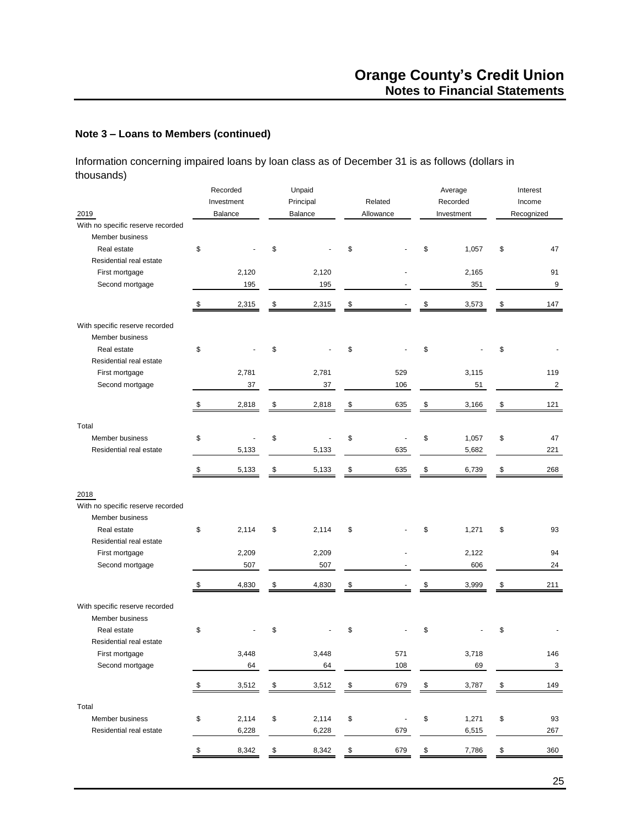Information concerning impaired loans by loan class as of December 31 is as follows (dollars in thousands)

|                                   | Recorded<br>Investment<br>Balance |       | Unpaid      |    |                      |    | Average    |            | Interest       |  |
|-----------------------------------|-----------------------------------|-------|-------------|----|----------------------|----|------------|------------|----------------|--|
|                                   |                                   |       | Principal   |    | Related              |    | Recorded   | Income     |                |  |
| 2019                              |                                   |       | Balance     |    | Allowance            |    | Investment | Recognized |                |  |
| With no specific reserve recorded |                                   |       |             |    |                      |    |            |            |                |  |
| Member business                   |                                   |       |             |    |                      |    |            |            |                |  |
| Real estate                       | \$                                |       | \$          | \$ |                      | \$ | 1,057      | \$         | 47             |  |
| Residential real estate           |                                   |       |             |    |                      |    |            |            |                |  |
| First mortgage                    |                                   | 2,120 | 2,120       |    |                      |    | 2,165      |            | 91             |  |
| Second mortgage                   |                                   | 195   | 195         |    |                      |    | 351        |            | 9              |  |
|                                   | \$                                | 2,315 | \$<br>2,315 | \$ |                      | \$ | 3,573      | \$         | 147            |  |
| With specific reserve recorded    |                                   |       |             |    |                      |    |            |            |                |  |
| Member business                   |                                   |       |             |    |                      |    |            |            |                |  |
| Real estate                       | \$                                |       | \$          | \$ |                      | \$ |            | \$         |                |  |
| Residential real estate           |                                   |       |             |    |                      |    |            |            |                |  |
| First mortgage                    |                                   | 2,781 | 2,781       |    | 529                  |    | 3,115      |            | 119            |  |
| Second mortgage                   |                                   | 37    | 37          |    | 106                  |    | 51         |            | $\overline{c}$ |  |
|                                   | \$                                | 2,818 | \$<br>2,818 | \$ | 635                  | \$ | 3,166      | \$         | 121            |  |
|                                   |                                   |       |             |    |                      |    |            |            |                |  |
| Total                             |                                   |       |             |    |                      |    |            |            |                |  |
| Member business                   | \$                                |       | \$          | \$ |                      | \$ | 1,057      | \$         | 47             |  |
| Residential real estate           |                                   | 5,133 | 5,133       |    | 635                  |    | 5,682      |            | 221            |  |
|                                   |                                   |       |             |    |                      |    |            |            |                |  |
|                                   | \$                                | 5,133 | \$<br>5,133 | \$ | 635                  | \$ | 6,739      | \$         | 268            |  |
|                                   |                                   |       |             |    |                      |    |            |            |                |  |
| 2018                              |                                   |       |             |    |                      |    |            |            |                |  |
| With no specific reserve recorded |                                   |       |             |    |                      |    |            |            |                |  |
| Member business<br>Real estate    | \$                                | 2,114 | \$<br>2,114 | \$ |                      | \$ | 1,271      | \$         | 93             |  |
| Residential real estate           |                                   |       |             |    |                      |    |            |            |                |  |
| First mortgage                    |                                   | 2,209 | 2,209       |    |                      |    | 2,122      |            | 94             |  |
| Second mortgage                   |                                   | 507   | 507         |    |                      |    | 606        |            | 24             |  |
|                                   |                                   |       |             |    |                      |    |            |            |                |  |
|                                   |                                   | 4,830 | \$<br>4,830 | \$ |                      | \$ | 3,999      | \$         | 211            |  |
| With specific reserve recorded    |                                   |       |             |    |                      |    |            |            |                |  |
| Member business                   |                                   |       |             |    |                      |    |            |            |                |  |
| Real estate                       | \$                                |       | \$          | \$ |                      | \$ |            | \$         |                |  |
| Residential real estate           |                                   |       |             |    |                      |    |            |            |                |  |
| First mortgage                    |                                   | 3,448 | 3,448       |    | 571                  |    | 3,718      |            | 146            |  |
| Second mortgage                   |                                   | 64    | 64          |    | 108                  |    | 69         |            | $\overline{3}$ |  |
|                                   |                                   |       |             |    |                      |    |            |            |                |  |
|                                   | \$                                | 3,512 | \$<br>3,512 | \$ | 679                  | \$ | 3,787      | \$         | 149            |  |
| Total                             |                                   |       |             |    |                      |    |            |            |                |  |
| Member business                   | \$                                | 2,114 | \$<br>2,114 | \$ | $\ddot{\phantom{0}}$ | \$ | 1,271      | \$         | 93             |  |
| Residential real estate           |                                   | 6,228 | 6,228       |    | 679                  |    | 6,515      |            | 267            |  |
|                                   |                                   |       |             |    |                      |    |            |            |                |  |
|                                   | \$                                | 8,342 | \$<br>8,342 | \$ | 679                  | \$ | 7,786      | \$         | 360            |  |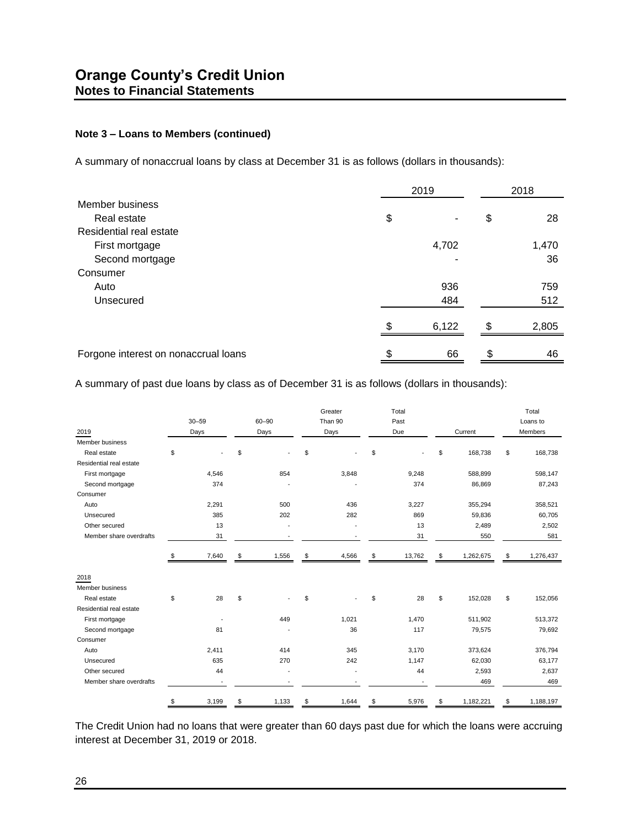A summary of nonaccrual loans by class at December 31 is as follows (dollars in thousands):

|                                      | 2019 |       |     | 2018  |  |  |
|--------------------------------------|------|-------|-----|-------|--|--|
| Member business                      |      |       |     |       |  |  |
| Real estate                          | \$   |       | \$  | 28    |  |  |
| Residential real estate              |      |       |     |       |  |  |
| First mortgage                       |      | 4,702 |     | 1,470 |  |  |
| Second mortgage                      |      |       |     | 36    |  |  |
| Consumer                             |      |       |     |       |  |  |
| Auto                                 |      | 936   |     | 759   |  |  |
| Unsecured                            |      | 484   |     | 512   |  |  |
|                                      | \$   | 6,122 | \$. | 2,805 |  |  |
| Forgone interest on nonaccrual loans | \$   | 66    |     | 46    |  |  |

A summary of past due loans by class as of December 31 is as follows (dollars in thousands):

|                         | $30 - 59$ |     | $60 - 90$                | Greater<br>Than 90 | Total<br>Past |                 | Total<br>Loans to |
|-------------------------|-----------|-----|--------------------------|--------------------|---------------|-----------------|-------------------|
| 2019                    | Days      |     | Days                     | Days               | Due           | Current         | Members           |
| Member business         |           |     |                          |                    |               |                 |                   |
| Real estate             | \$        | \$  |                          | \$                 | \$            | \$<br>168,738   | \$<br>168,738     |
| Residential real estate |           |     |                          |                    |               |                 |                   |
| First mortgage          | 4,546     |     | 854                      | 3,848              | 9,248         | 588,899         | 598,147           |
| Second mortgage         | 374       |     |                          |                    | 374           | 86,869          | 87,243            |
| Consumer                |           |     |                          |                    |               |                 |                   |
| Auto                    | 2,291     |     | 500                      | 436                | 3,227         | 355,294         | 358,521           |
| Unsecured               | 385       |     | 202                      | 282                | 869           | 59,836          | 60,705            |
| Other secured           | 13        |     |                          |                    | 13            | 2,489           | 2,502             |
| Member share overdrafts | 31        |     | $\overline{\phantom{a}}$ |                    | 31            | 550             | 581               |
|                         | 7,640     | \$  | 1,556                    | \$<br>4,566        | \$<br>13,762  | \$<br>1,262,675 | \$<br>1,276,437   |
| 2018                    |           |     |                          |                    |               |                 |                   |
| Member business         |           |     |                          |                    |               |                 |                   |
| Real estate             | \$<br>28  | \$  |                          | \$                 | \$<br>28      | \$<br>152,028   | \$<br>152,056     |
| Residential real estate |           |     |                          |                    |               |                 |                   |
| First mortgage          | ÷         |     | 449                      | 1,021              | 1,470         | 511,902         | 513,372           |
| Second mortgage         | 81        |     |                          | 36                 | 117           | 79,575          | 79,692            |
| Consumer                |           |     |                          |                    |               |                 |                   |
| Auto                    | 2,411     |     | 414                      | 345                | 3,170         | 373,624         | 376,794           |
| Unsecured               | 635       |     | 270                      | 242                | 1,147         | 62,030          | 63,177            |
| Other secured           | 44        |     |                          |                    | 44            | 2,593           | 2,637             |
| Member share overdrafts |           |     |                          |                    |               | 469             | 469               |
|                         | 3,199     | \$. | 1,133                    | \$<br>1,644        | \$<br>5,976   | \$<br>1,182,221 | \$<br>1,188,197   |

The Credit Union had no loans that were greater than 60 days past due for which the loans were accruing interest at December 31, 2019 or 2018.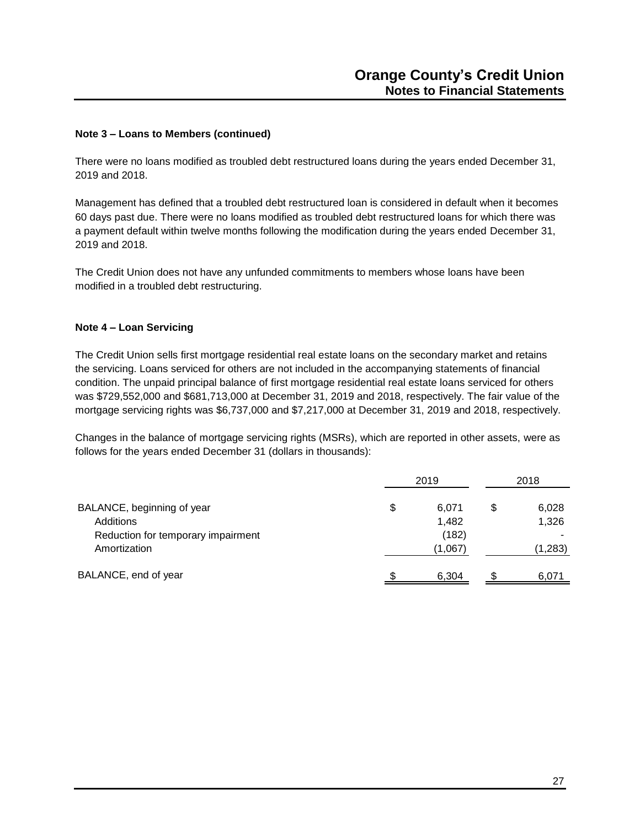There were no loans modified as troubled debt restructured loans during the years ended December 31, 2019 and 2018.

Management has defined that a troubled debt restructured loan is considered in default when it becomes 60 days past due. There were no loans modified as troubled debt restructured loans for which there was a payment default within twelve months following the modification during the years ended December 31, 2019 and 2018.

The Credit Union does not have any unfunded commitments to members whose loans have been modified in a troubled debt restructuring.

#### **Note 4 – Loan Servicing**

The Credit Union sells first mortgage residential real estate loans on the secondary market and retains the servicing. Loans serviced for others are not included in the accompanying statements of financial condition. The unpaid principal balance of first mortgage residential real estate loans serviced for others was \$729,552,000 and \$681,713,000 at December 31, 2019 and 2018, respectively. The fair value of the mortgage servicing rights was \$6,737,000 and \$7,217,000 at December 31, 2019 and 2018, respectively.

Changes in the balance of mortgage servicing rights (MSRs), which are reported in other assets, were as follows for the years ended December 31 (dollars in thousands):

|    |         | 2018 |         |  |
|----|---------|------|---------|--|
| \$ | 6.071   | \$   | 6,028   |  |
|    | 1,482   |      | 1,326   |  |
|    | (182)   |      |         |  |
|    | (1,067) |      | (1,283) |  |
|    | 6.304   |      | 6,071   |  |
|    |         | 2019 |         |  |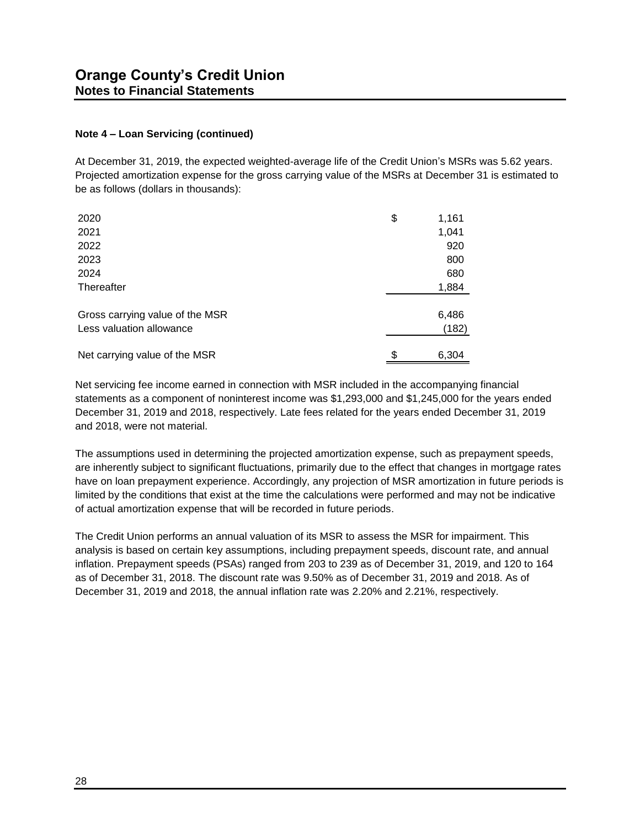#### **Note 4 – Loan Servicing (continued)**

At December 31, 2019, the expected weighted-average life of the Credit Union's MSRs was 5.62 years. Projected amortization expense for the gross carrying value of the MSRs at December 31 is estimated to be as follows (dollars in thousands):

| 2020                                                        | \$<br>1,161    |
|-------------------------------------------------------------|----------------|
| 2021                                                        | 1,041          |
| 2022                                                        | 920            |
| 2023                                                        | 800            |
| 2024                                                        | 680            |
| Thereafter                                                  | 1,884          |
| Gross carrying value of the MSR<br>Less valuation allowance | 6,486<br>(182) |
|                                                             |                |
| Net carrying value of the MSR                               | \$<br>6,304    |

Net servicing fee income earned in connection with MSR included in the accompanying financial statements as a component of noninterest income was \$1,293,000 and \$1,245,000 for the years ended December 31, 2019 and 2018, respectively. Late fees related for the years ended December 31, 2019 and 2018, were not material.

The assumptions used in determining the projected amortization expense, such as prepayment speeds, are inherently subject to significant fluctuations, primarily due to the effect that changes in mortgage rates have on loan prepayment experience. Accordingly, any projection of MSR amortization in future periods is limited by the conditions that exist at the time the calculations were performed and may not be indicative of actual amortization expense that will be recorded in future periods.

The Credit Union performs an annual valuation of its MSR to assess the MSR for impairment. This analysis is based on certain key assumptions, including prepayment speeds, discount rate, and annual inflation. Prepayment speeds (PSAs) ranged from 203 to 239 as of December 31, 2019, and 120 to 164 as of December 31, 2018. The discount rate was 9.50% as of December 31, 2019 and 2018. As of December 31, 2019 and 2018, the annual inflation rate was 2.20% and 2.21%, respectively.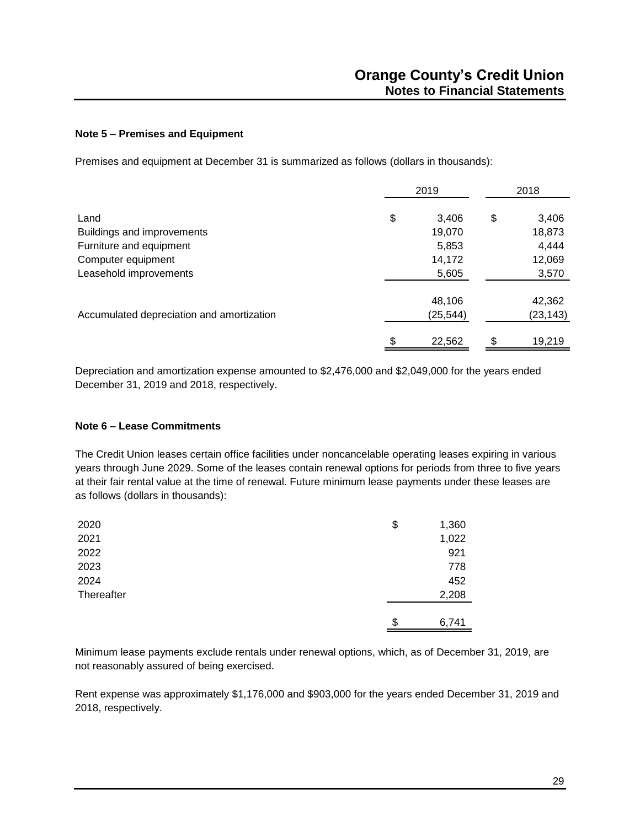#### **Note 5 – Premises and Equipment**

Premises and equipment at December 31 is summarized as follows (dollars in thousands):

|                                           |    | 2018      |    |           |
|-------------------------------------------|----|-----------|----|-----------|
| Land                                      | \$ | 3,406     | \$ | 3,406     |
| Buildings and improvements                |    | 19,070    |    | 18,873    |
| Furniture and equipment                   |    | 5,853     |    | 4,444     |
| Computer equipment                        |    | 14,172    |    | 12,069    |
| Leasehold improvements                    |    | 5,605     |    | 3,570     |
|                                           |    | 48,106    |    | 42,362    |
| Accumulated depreciation and amortization |    | (25, 544) |    | (23, 143) |
|                                           | \$ | 22,562    |    | 19,219    |

Depreciation and amortization expense amounted to \$2,476,000 and \$2,049,000 for the years ended December 31, 2019 and 2018, respectively.

#### **Note 6 – Lease Commitments**

The Credit Union leases certain office facilities under noncancelable operating leases expiring in various years through June 2029. Some of the leases contain renewal options for periods from three to five years at their fair rental value at the time of renewal. Future minimum lease payments under these leases are as follows (dollars in thousands):

| 2020       | \$<br>1,360 |
|------------|-------------|
| 2021       | 1,022       |
| 2022       | 921         |
| 2023       | 778         |
| 2024       | 452         |
| Thereafter | 2,208       |
|            |             |
|            | \$<br>6,741 |

Minimum lease payments exclude rentals under renewal options, which, as of December 31, 2019, are not reasonably assured of being exercised.

Rent expense was approximately \$1,176,000 and \$903,000 for the years ended December 31, 2019 and 2018, respectively.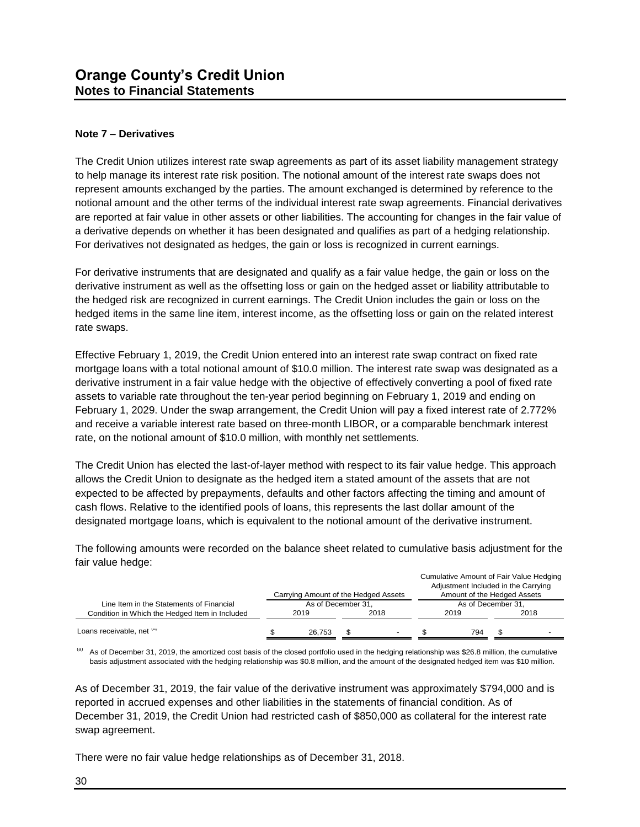#### **Note 7 – Derivatives**

The Credit Union utilizes interest rate swap agreements as part of its asset liability management strategy to help manage its interest rate risk position. The notional amount of the interest rate swaps does not represent amounts exchanged by the parties. The amount exchanged is determined by reference to the notional amount and the other terms of the individual interest rate swap agreements. Financial derivatives are reported at fair value in other assets or other liabilities. The accounting for changes in the fair value of a derivative depends on whether it has been designated and qualifies as part of a hedging relationship. For derivatives not designated as hedges, the gain or loss is recognized in current earnings.

For derivative instruments that are designated and qualify as a fair value hedge, the gain or loss on the derivative instrument as well as the offsetting loss or gain on the hedged asset or liability attributable to the hedged risk are recognized in current earnings. The Credit Union includes the gain or loss on the hedged items in the same line item, interest income, as the offsetting loss or gain on the related interest rate swaps.

Effective February 1, 2019, the Credit Union entered into an interest rate swap contract on fixed rate mortgage loans with a total notional amount of \$10.0 million. The interest rate swap was designated as a derivative instrument in a fair value hedge with the objective of effectively converting a pool of fixed rate assets to variable rate throughout the ten-year period beginning on February 1, 2019 and ending on February 1, 2029. Under the swap arrangement, the Credit Union will pay a fixed interest rate of 2.772% and receive a variable interest rate based on three-month LIBOR, or a comparable benchmark interest rate, on the notional amount of \$10.0 million, with monthly net settlements.

The Credit Union has elected the last-of-layer method with respect to its fair value hedge. This approach allows the Credit Union to designate as the hedged item a stated amount of the assets that are not expected to be affected by prepayments, defaults and other factors affecting the timing and amount of cash flows. Relative to the identified pools of loans, this represents the last dollar amount of the designated mortgage loans, which is equivalent to the notional amount of the derivative instrument.

|                                                | Carrying Amount of the Hedged Assets |  | Cumulative Amount of Fair Value Hedging<br>Adjustment Included in the Carrying<br>Amount of the Hedged Assets |                    |     |      |  |  |
|------------------------------------------------|--------------------------------------|--|---------------------------------------------------------------------------------------------------------------|--------------------|-----|------|--|--|
| Line Item in the Statements of Financial       | As of December 31,                   |  |                                                                                                               | As of December 31, |     |      |  |  |
| Condition in Which the Hedged Item in Included | 2018<br>2019                         |  |                                                                                                               | 2019               |     | 2018 |  |  |
| Loans receivable, net \call                    | 26.753                               |  | $\sim$                                                                                                        |                    | 794 |      |  |  |

The following amounts were recorded on the balance sheet related to cumulative basis adjustment for the fair value hedge:

(a) As of December 31, 2019, the amortized cost basis of the closed portfolio used in the hedging relationship was \$26.8 million, the cumulative basis adjustment associated with the hedging relationship was \$0.8 million, and the amount of the designated hedged item was \$10 million.

As of December 31, 2019, the fair value of the derivative instrument was approximately \$794,000 and is reported in accrued expenses and other liabilities in the statements of financial condition. As of December 31, 2019, the Credit Union had restricted cash of \$850,000 as collateral for the interest rate swap agreement.

There were no fair value hedge relationships as of December 31, 2018.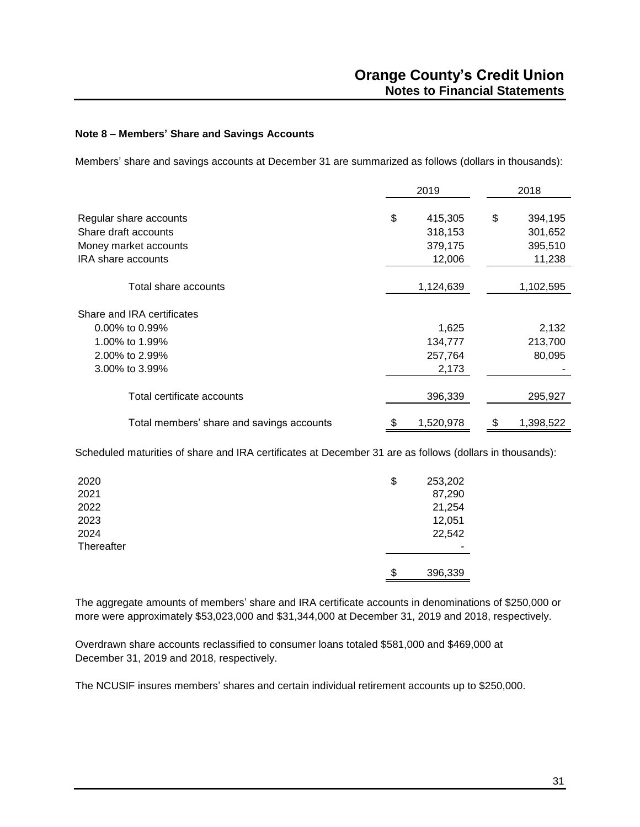# **Note 8 – Members' Share and Savings Accounts**

Members' share and savings accounts at December 31 are summarized as follows (dollars in thousands):

|                                           | 2019            | 2018            |  |  |
|-------------------------------------------|-----------------|-----------------|--|--|
| Regular share accounts                    | \$<br>415,305   | \$<br>394,195   |  |  |
| Share draft accounts                      | 318,153         | 301,652         |  |  |
| Money market accounts                     | 379,175         | 395,510         |  |  |
| IRA share accounts                        | 12,006          | 11,238          |  |  |
| Total share accounts                      | 1,124,639       | 1,102,595       |  |  |
| Share and IRA certificates                |                 |                 |  |  |
| $0.00\%$ to 0.99%                         | 1,625           | 2,132           |  |  |
| 1.00% to 1.99%                            | 134,777         | 213,700         |  |  |
| 2.00% to 2.99%                            | 257,764         | 80,095          |  |  |
| 3.00% to 3.99%                            | 2,173           |                 |  |  |
| Total certificate accounts                | 396,339         | 295,927         |  |  |
| Total members' share and savings accounts | \$<br>1,520,978 | \$<br>1,398,522 |  |  |

Scheduled maturities of share and IRA certificates at December 31 are as follows (dollars in thousands):

| 2020       | \$<br>253,202 |
|------------|---------------|
| 2021       | 87,290        |
| 2022       | 21,254        |
| 2023       | 12,051        |
| 2024       | 22,542        |
| Thereafter | -             |
|            |               |
|            | \$<br>396,339 |

The aggregate amounts of members' share and IRA certificate accounts in denominations of \$250,000 or more were approximately \$53,023,000 and \$31,344,000 at December 31, 2019 and 2018, respectively.

Overdrawn share accounts reclassified to consumer loans totaled \$581,000 and \$469,000 at December 31, 2019 and 2018, respectively.

The NCUSIF insures members' shares and certain individual retirement accounts up to \$250,000.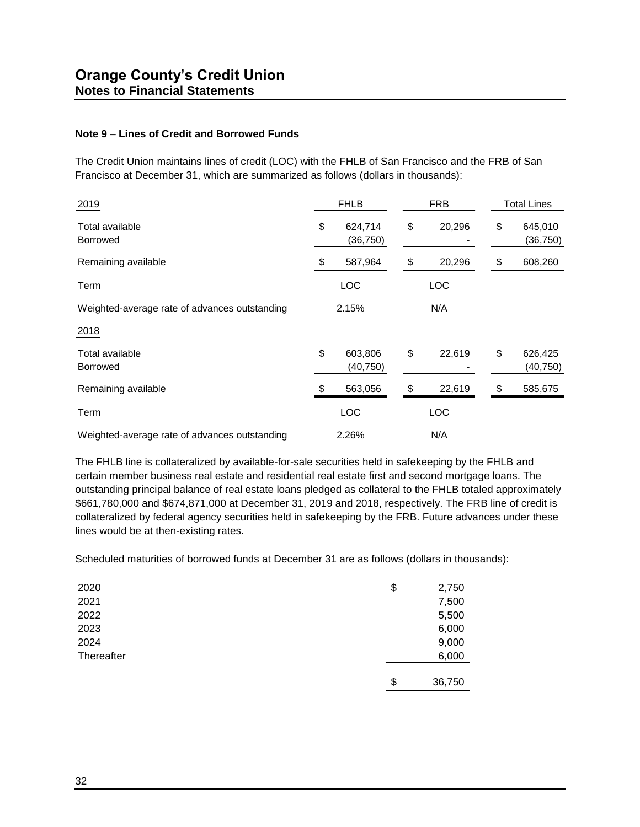#### **Note 9 – Lines of Credit and Borrowed Funds**

The Credit Union maintains lines of credit (LOC) with the FHLB of San Francisco and the FRB of San Francisco at December 31, which are summarized as follows (dollars in thousands):

| 2019                                          | <b>FHLB</b>                | <b>FRB</b> |            |  | <b>Total Lines</b> |                      |  |
|-----------------------------------------------|----------------------------|------------|------------|--|--------------------|----------------------|--|
| Total available<br><b>Borrowed</b>            | \$<br>624,714<br>(36,750)  | \$         | 20,296     |  | \$                 | 645,010<br>(36, 750) |  |
| Remaining available                           | 587,964                    | \$         | 20,296     |  | \$                 | 608,260              |  |
| Term                                          | <b>LOC</b>                 |            | <b>LOC</b> |  |                    |                      |  |
| Weighted-average rate of advances outstanding | 2.15%                      |            |            |  |                    |                      |  |
| 2018                                          |                            |            |            |  |                    |                      |  |
| Total available<br><b>Borrowed</b>            | \$<br>603,806<br>(40, 750) | \$         | 22,619     |  | \$                 | 626,425<br>(40, 750) |  |
| Remaining available                           | 563,056                    | S          | 22,619     |  | \$                 | 585,675              |  |
| Term                                          | LOC                        |            | <b>LOC</b> |  |                    |                      |  |
| Weighted-average rate of advances outstanding | 2.26%                      |            | N/A        |  |                    |                      |  |

The FHLB line is collateralized by available-for-sale securities held in safekeeping by the FHLB and certain member business real estate and residential real estate first and second mortgage loans. The outstanding principal balance of real estate loans pledged as collateral to the FHLB totaled approximately \$661,780,000 and \$674,871,000 at December 31, 2019 and 2018, respectively. The FRB line of credit is collateralized by federal agency securities held in safekeeping by the FRB. Future advances under these lines would be at then-existing rates.

Scheduled maturities of borrowed funds at December 31 are as follows (dollars in thousands):

| 2020       | \$<br>2,750  |
|------------|--------------|
| 2021       | 7,500        |
| 2022       | 5,500        |
| 2023       | 6,000        |
| 2024       | 9,000        |
| Thereafter | 6,000        |
|            |              |
|            | \$<br>36,750 |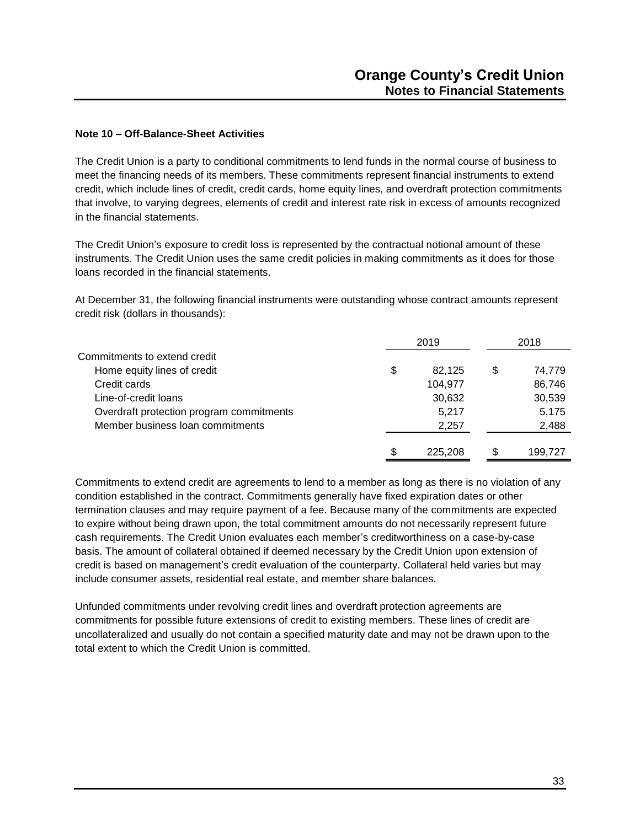# **Note 10 – Off-Balance-Sheet Activities**

The Credit Union is a party to conditional commitments to lend funds in the normal course of business to meet the financing needs of its members. These commitments represent financial instruments to extend credit, which include lines of credit, credit cards, home equity lines, and overdraft protection commitments that involve, to varying degrees, elements of credit and interest rate risk in excess of amounts recognized in the financial statements.

The Credit Union's exposure to credit loss is represented by the contractual notional amount of these instruments. The Credit Union uses the same credit policies in making commitments as it does for those loans recorded in the financial statements.

At December 31, the following financial instruments were outstanding whose contract amounts represent credit risk (dollars in thousands):

|                                          | 2019          | 2018 |         |  |
|------------------------------------------|---------------|------|---------|--|
| Commitments to extend credit             |               |      |         |  |
| Home equity lines of credit              | \$<br>82,125  | S    | 74.779  |  |
| Credit cards                             | 104.977       |      | 86,746  |  |
| Line-of-credit loans                     | 30,632        |      | 30,539  |  |
| Overdraft protection program commitments | 5,217         |      | 5,175   |  |
| Member business loan commitments         | 2,257         |      | 2,488   |  |
|                                          |               |      |         |  |
|                                          | \$<br>225,208 |      | 199,727 |  |

Commitments to extend credit are agreements to lend to a member as long as there is no violation of any condition established in the contract. Commitments generally have fixed expiration dates or other termination clauses and may require payment of a fee. Because many of the commitments are expected to expire without being drawn upon, the total commitment amounts do not necessarily represent future cash requirements. The Credit Union evaluates each member's creditworthiness on a case-by-case basis. The amount of collateral obtained if deemed necessary by the Credit Union upon extension of credit is based on management's credit evaluation of the counterparty. Collateral held varies but may include consumer assets, residential real estate, and member share balances.

Unfunded commitments under revolving credit lines and overdraft protection agreements are commitments for possible future extensions of credit to existing members. These lines of credit are uncollateralized and usually do not contain a specified maturity date and may not be drawn upon to the total extent to which the Credit Union is committed.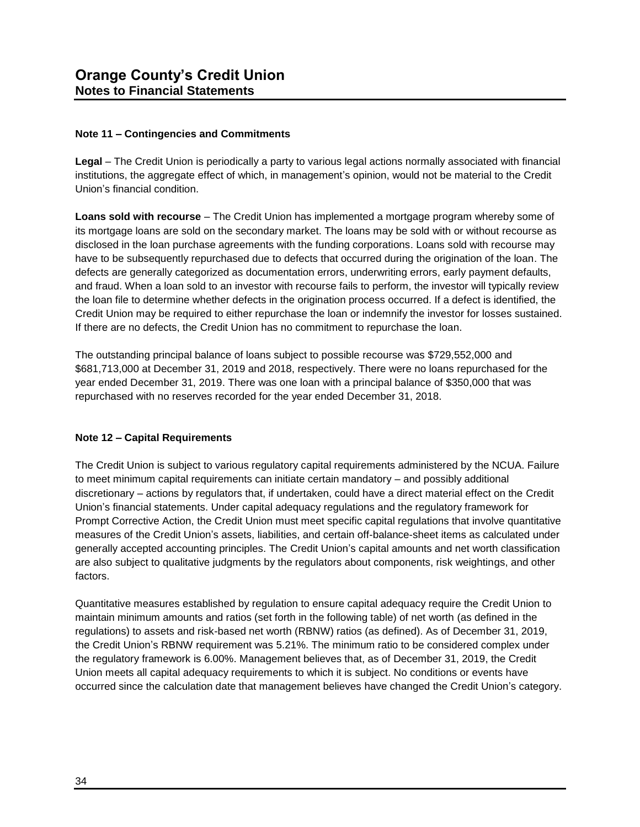#### **Note 11 – Contingencies and Commitments**

**Legal** – The Credit Union is periodically a party to various legal actions normally associated with financial institutions, the aggregate effect of which, in management's opinion, would not be material to the Credit Union's financial condition.

**Loans sold with recourse** – The Credit Union has implemented a mortgage program whereby some of its mortgage loans are sold on the secondary market. The loans may be sold with or without recourse as disclosed in the loan purchase agreements with the funding corporations. Loans sold with recourse may have to be subsequently repurchased due to defects that occurred during the origination of the loan. The defects are generally categorized as documentation errors, underwriting errors, early payment defaults, and fraud. When a loan sold to an investor with recourse fails to perform, the investor will typically review the loan file to determine whether defects in the origination process occurred. If a defect is identified, the Credit Union may be required to either repurchase the loan or indemnify the investor for losses sustained. If there are no defects, the Credit Union has no commitment to repurchase the loan.

The outstanding principal balance of loans subject to possible recourse was \$729,552,000 and \$681,713,000 at December 31, 2019 and 2018, respectively. There were no loans repurchased for the year ended December 31, 2019. There was one loan with a principal balance of \$350,000 that was repurchased with no reserves recorded for the year ended December 31, 2018.

#### **Note 12 – Capital Requirements**

The Credit Union is subject to various regulatory capital requirements administered by the NCUA. Failure to meet minimum capital requirements can initiate certain mandatory – and possibly additional discretionary – actions by regulators that, if undertaken, could have a direct material effect on the Credit Union's financial statements. Under capital adequacy regulations and the regulatory framework for Prompt Corrective Action, the Credit Union must meet specific capital regulations that involve quantitative measures of the Credit Union's assets, liabilities, and certain off-balance-sheet items as calculated under generally accepted accounting principles. The Credit Union's capital amounts and net worth classification are also subject to qualitative judgments by the regulators about components, risk weightings, and other factors.

Quantitative measures established by regulation to ensure capital adequacy require the Credit Union to maintain minimum amounts and ratios (set forth in the following table) of net worth (as defined in the regulations) to assets and risk-based net worth (RBNW) ratios (as defined). As of December 31, 2019, the Credit Union's RBNW requirement was 5.21%. The minimum ratio to be considered complex under the regulatory framework is 6.00%. Management believes that, as of December 31, 2019, the Credit Union meets all capital adequacy requirements to which it is subject. No conditions or events have occurred since the calculation date that management believes have changed the Credit Union's category.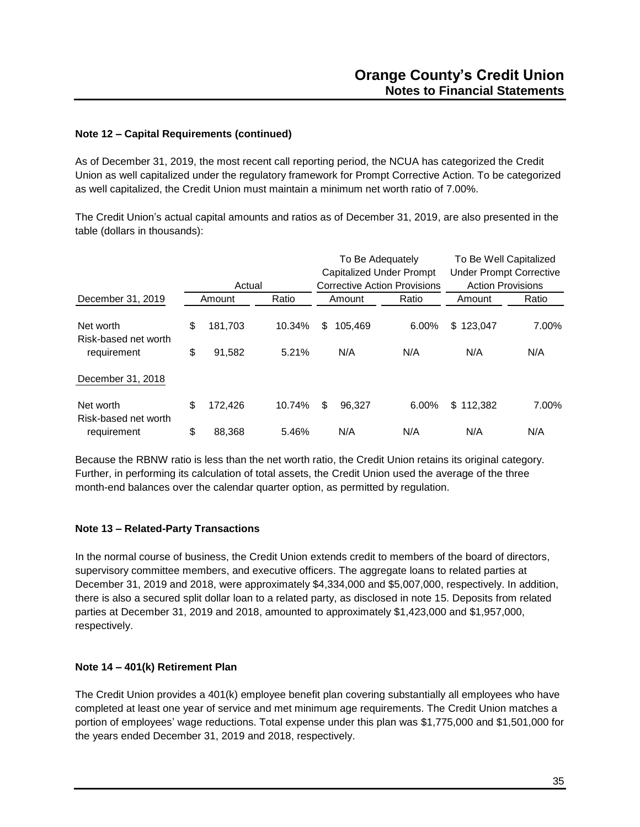# **Note 12 – Capital Requirements (continued)**

As of December 31, 2019, the most recent call reporting period, the NCUA has categorized the Credit Union as well capitalized under the regulatory framework for Prompt Corrective Action. To be categorized as well capitalized, the Credit Union must maintain a minimum net worth ratio of 7.00%.

The Credit Union's actual capital amounts and ratios as of December 31, 2019, are also presented in the table (dollars in thousands):

| Actual                            |    |         | To Be Adequately<br><b>Capitalized Under Prompt</b> | <b>Corrective Action Provisions</b> | To Be Well Capitalized<br><b>Under Prompt Corrective</b><br><b>Action Provisions</b> |           |       |
|-----------------------------------|----|---------|-----------------------------------------------------|-------------------------------------|--------------------------------------------------------------------------------------|-----------|-------|
| December 31, 2019                 |    | Amount  | Ratio                                               | Amount                              | Ratio                                                                                | Amount    | Ratio |
| Net worth<br>Risk-based net worth | \$ | 181,703 | 10.34%                                              | \$<br>105.469                       | 6.00%                                                                                | \$123,047 | 7.00% |
| requirement                       | \$ | 91,582  | 5.21%                                               | N/A                                 | N/A                                                                                  | N/A       | N/A   |
| December 31, 2018                 |    |         |                                                     |                                     |                                                                                      |           |       |
| Net worth<br>Risk-based net worth | \$ | 172.426 | 10.74%                                              | \$<br>96.327                        | 6.00%                                                                                | \$112.382 | 7.00% |
| requirement                       | \$ | 88,368  | 5.46%                                               | N/A                                 | N/A                                                                                  | N/A       | N/A   |

Because the RBNW ratio is less than the net worth ratio, the Credit Union retains its original category. Further, in performing its calculation of total assets, the Credit Union used the average of the three month-end balances over the calendar quarter option, as permitted by regulation.

#### **Note 13 – Related-Party Transactions**

In the normal course of business, the Credit Union extends credit to members of the board of directors, supervisory committee members, and executive officers. The aggregate loans to related parties at December 31, 2019 and 2018, were approximately \$4,334,000 and \$5,007,000, respectively. In addition, there is also a secured split dollar loan to a related party, as disclosed in note 15. Deposits from related parties at December 31, 2019 and 2018, amounted to approximately \$1,423,000 and \$1,957,000, respectively.

#### **Note 14 – 401(k) Retirement Plan**

The Credit Union provides a 401(k) employee benefit plan covering substantially all employees who have completed at least one year of service and met minimum age requirements. The Credit Union matches a portion of employees' wage reductions. Total expense under this plan was \$1,775,000 and \$1,501,000 for the years ended December 31, 2019 and 2018, respectively.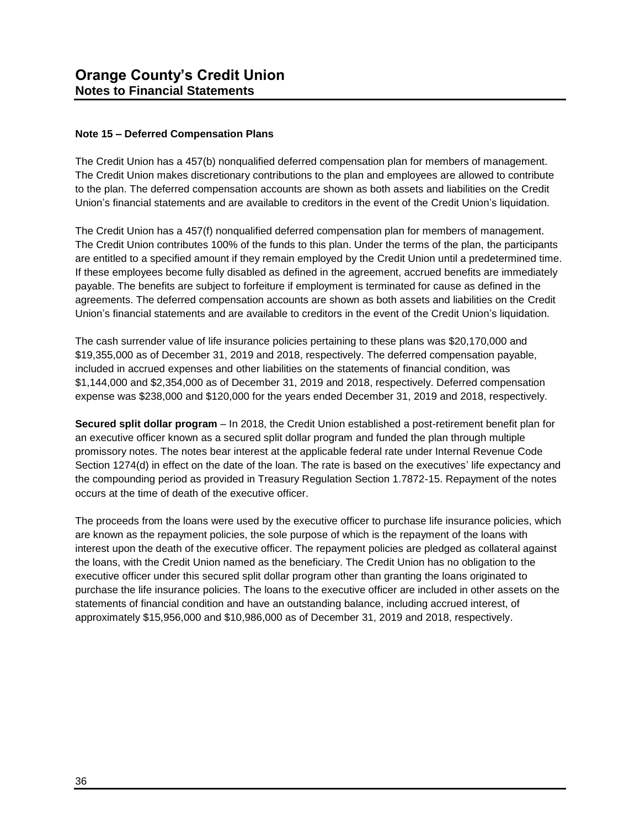#### **Note 15 – Deferred Compensation Plans**

The Credit Union has a 457(b) nonqualified deferred compensation plan for members of management. The Credit Union makes discretionary contributions to the plan and employees are allowed to contribute to the plan. The deferred compensation accounts are shown as both assets and liabilities on the Credit Union's financial statements and are available to creditors in the event of the Credit Union's liquidation.

The Credit Union has a 457(f) nonqualified deferred compensation plan for members of management. The Credit Union contributes 100% of the funds to this plan. Under the terms of the plan, the participants are entitled to a specified amount if they remain employed by the Credit Union until a predetermined time. If these employees become fully disabled as defined in the agreement, accrued benefits are immediately payable. The benefits are subject to forfeiture if employment is terminated for cause as defined in the agreements. The deferred compensation accounts are shown as both assets and liabilities on the Credit Union's financial statements and are available to creditors in the event of the Credit Union's liquidation.

The cash surrender value of life insurance policies pertaining to these plans was \$20,170,000 and \$19,355,000 as of December 31, 2019 and 2018, respectively. The deferred compensation payable, included in accrued expenses and other liabilities on the statements of financial condition, was \$1,144,000 and \$2,354,000 as of December 31, 2019 and 2018, respectively. Deferred compensation expense was \$238,000 and \$120,000 for the years ended December 31, 2019 and 2018, respectively.

**Secured split dollar program** – In 2018, the Credit Union established a post-retirement benefit plan for an executive officer known as a secured split dollar program and funded the plan through multiple promissory notes. The notes bear interest at the applicable federal rate under Internal Revenue Code Section 1274(d) in effect on the date of the loan. The rate is based on the executives' life expectancy and the compounding period as provided in Treasury Regulation Section 1.7872-15. Repayment of the notes occurs at the time of death of the executive officer.

The proceeds from the loans were used by the executive officer to purchase life insurance policies, which are known as the repayment policies, the sole purpose of which is the repayment of the loans with interest upon the death of the executive officer. The repayment policies are pledged as collateral against the loans, with the Credit Union named as the beneficiary. The Credit Union has no obligation to the executive officer under this secured split dollar program other than granting the loans originated to purchase the life insurance policies. The loans to the executive officer are included in other assets on the statements of financial condition and have an outstanding balance, including accrued interest, of approximately \$15,956,000 and \$10,986,000 as of December 31, 2019 and 2018, respectively.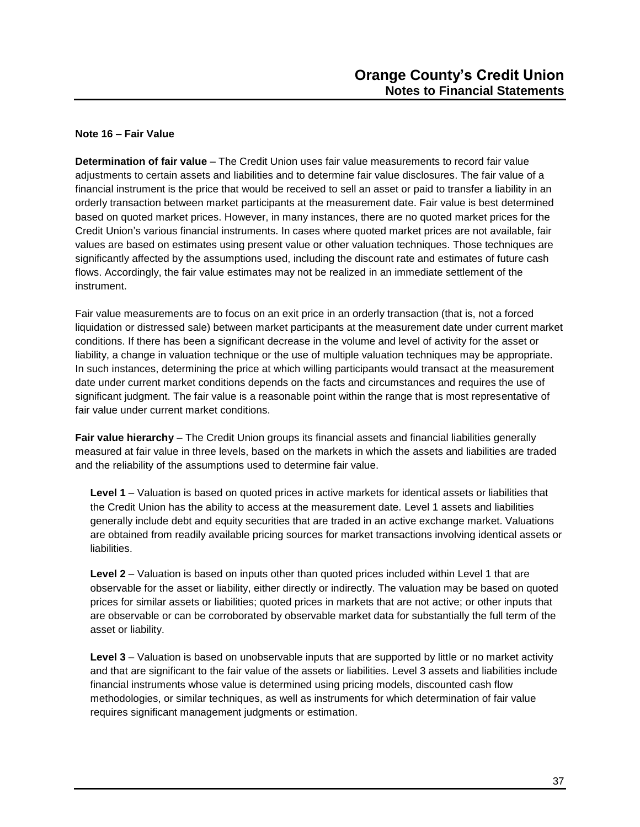# **Note 16 – Fair Value**

**Determination of fair value** – The Credit Union uses fair value measurements to record fair value adjustments to certain assets and liabilities and to determine fair value disclosures. The fair value of a financial instrument is the price that would be received to sell an asset or paid to transfer a liability in an orderly transaction between market participants at the measurement date. Fair value is best determined based on quoted market prices. However, in many instances, there are no quoted market prices for the Credit Union's various financial instruments. In cases where quoted market prices are not available, fair values are based on estimates using present value or other valuation techniques. Those techniques are significantly affected by the assumptions used, including the discount rate and estimates of future cash flows. Accordingly, the fair value estimates may not be realized in an immediate settlement of the instrument.

Fair value measurements are to focus on an exit price in an orderly transaction (that is, not a forced liquidation or distressed sale) between market participants at the measurement date under current market conditions. If there has been a significant decrease in the volume and level of activity for the asset or liability, a change in valuation technique or the use of multiple valuation techniques may be appropriate. In such instances, determining the price at which willing participants would transact at the measurement date under current market conditions depends on the facts and circumstances and requires the use of significant judgment. The fair value is a reasonable point within the range that is most representative of fair value under current market conditions.

**Fair value hierarchy** – The Credit Union groups its financial assets and financial liabilities generally measured at fair value in three levels, based on the markets in which the assets and liabilities are traded and the reliability of the assumptions used to determine fair value.

**Level 1** – Valuation is based on quoted prices in active markets for identical assets or liabilities that the Credit Union has the ability to access at the measurement date. Level 1 assets and liabilities generally include debt and equity securities that are traded in an active exchange market. Valuations are obtained from readily available pricing sources for market transactions involving identical assets or liabilities.

**Level 2** – Valuation is based on inputs other than quoted prices included within Level 1 that are observable for the asset or liability, either directly or indirectly. The valuation may be based on quoted prices for similar assets or liabilities; quoted prices in markets that are not active; or other inputs that are observable or can be corroborated by observable market data for substantially the full term of the asset or liability.

**Level 3** – Valuation is based on unobservable inputs that are supported by little or no market activity and that are significant to the fair value of the assets or liabilities. Level 3 assets and liabilities include financial instruments whose value is determined using pricing models, discounted cash flow methodologies, or similar techniques, as well as instruments for which determination of fair value requires significant management judgments or estimation.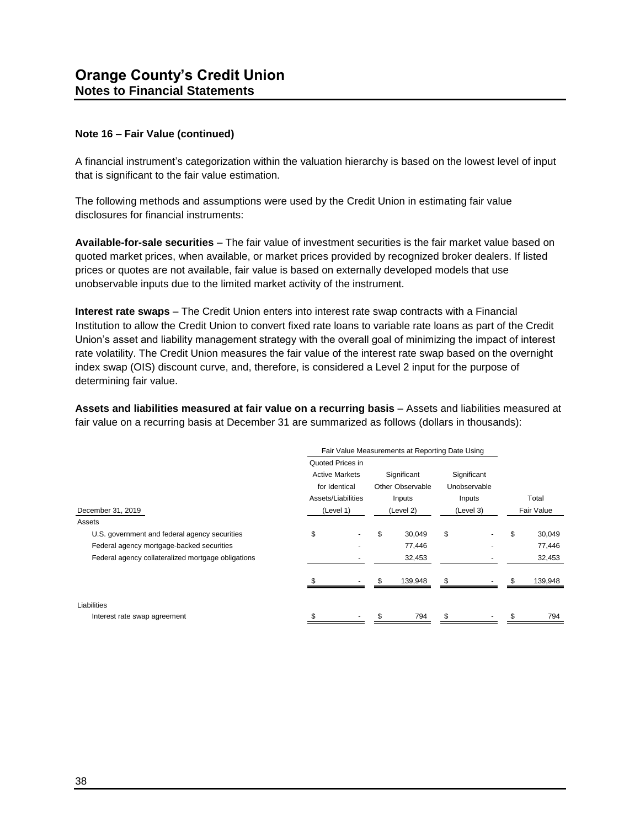#### **Note 16 – Fair Value (continued)**

A financial instrument's categorization within the valuation hierarchy is based on the lowest level of input that is significant to the fair value estimation.

The following methods and assumptions were used by the Credit Union in estimating fair value disclosures for financial instruments:

**Available-for-sale securities** – The fair value of investment securities is the fair market value based on quoted market prices, when available, or market prices provided by recognized broker dealers. If listed prices or quotes are not available, fair value is based on externally developed models that use unobservable inputs due to the limited market activity of the instrument.

**Interest rate swaps** – The Credit Union enters into interest rate swap contracts with a Financial Institution to allow the Credit Union to convert fixed rate loans to variable rate loans as part of the Credit Union's asset and liability management strategy with the overall goal of minimizing the impact of interest rate volatility. The Credit Union measures the fair value of the interest rate swap based on the overnight index swap (OIS) discount curve, and, therefore, is considered a Level 2 input for the purpose of determining fair value.

**Assets and liabilities measured at fair value on a recurring basis** – Assets and liabilities measured at fair value on a recurring basis at December 31 are summarized as follows (dollars in thousands):

| Fair Value Measurements at Reporting Date Using    |                       |               |             |                  |              |           |    |            |
|----------------------------------------------------|-----------------------|---------------|-------------|------------------|--------------|-----------|----|------------|
|                                                    | Quoted Prices in      |               |             |                  |              |           |    |            |
|                                                    | <b>Active Markets</b> |               | Significant |                  | Significant  |           |    |            |
|                                                    |                       | for Identical |             | Other Observable | Unobservable |           |    |            |
|                                                    | Assets/Liabilities    |               | Inputs      |                  | Inputs       |           |    | Total      |
| December 31, 2019                                  |                       | (Level 1)     |             | (Level 2)        |              | (Level 3) |    | Fair Value |
| Assets                                             |                       |               |             |                  |              |           |    |            |
| U.S. government and federal agency securities      | \$                    |               | \$          | 30,049           | \$           |           | \$ | 30,049     |
| Federal agency mortgage-backed securities          |                       |               |             | 77,446           |              |           |    | 77,446     |
| Federal agency collateralized mortgage obligations |                       |               |             | 32,453           |              |           |    | 32,453     |
|                                                    |                       |               | S           | 139,948          | \$           |           | \$ | 139,948    |
| Liabilities                                        |                       |               |             |                  |              |           |    |            |
| Interest rate swap agreement                       |                       |               |             | 794              | \$.          |           |    | 794        |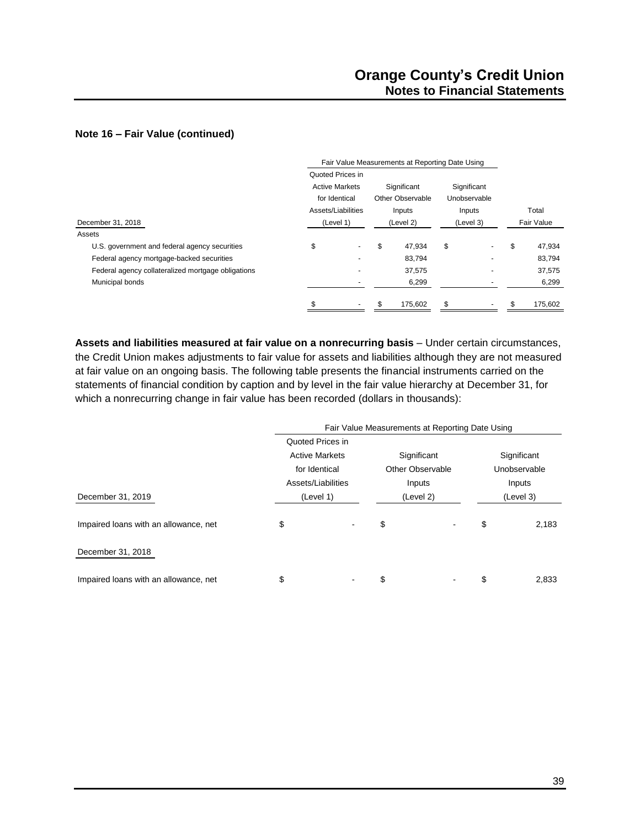#### **Note 16 – Fair Value (continued)**

|                                                    | Fair Value Measurements at Reporting Date Using              |  |                                           |           |                                       |   |       |            |
|----------------------------------------------------|--------------------------------------------------------------|--|-------------------------------------------|-----------|---------------------------------------|---|-------|------------|
|                                                    | Quoted Prices in                                             |  |                                           |           |                                       |   |       |            |
|                                                    | <b>Active Markets</b><br>for Identical<br>Assets/Liabilities |  | Significant<br>Other Observable<br>Inputs |           | Significant<br>Unobservable<br>Inputs |   |       |            |
|                                                    |                                                              |  |                                           |           |                                       |   |       |            |
|                                                    |                                                              |  |                                           |           |                                       |   | Total |            |
| December 31, 2018                                  | (Level 1)                                                    |  |                                           | (Level 2) | (Level 3)                             |   |       | Fair Value |
| Assets                                             |                                                              |  |                                           |           |                                       |   |       |            |
| U.S. government and federal agency securities      | \$                                                           |  | \$                                        | 47.934    | \$                                    | ٠ | \$    | 47,934     |
| Federal agency mortgage-backed securities          |                                                              |  |                                           | 83.794    |                                       | ۰ |       | 83.794     |
| Federal agency collateralized mortgage obligations |                                                              |  |                                           | 37,575    |                                       | ٠ |       | 37,575     |
| Municipal bonds                                    |                                                              |  |                                           | 6,299     |                                       |   |       | 6,299      |
|                                                    |                                                              |  | \$                                        | 175.602   | \$                                    |   |       | 175,602    |

**Assets and liabilities measured at fair value on a nonrecurring basis** – Under certain circumstances, the Credit Union makes adjustments to fair value for assets and liabilities although they are not measured at fair value on an ongoing basis. The following table presents the financial instruments carried on the statements of financial condition by caption and by level in the fair value hierarchy at December 31, for which a nonrecurring change in fair value has been recorded (dollars in thousands):

|                                       | Fair Value Measurements at Reporting Date Using |  |                  |                |                             |       |  |  |
|---------------------------------------|-------------------------------------------------|--|------------------|----------------|-----------------------------|-------|--|--|
|                                       | Quoted Prices in                                |  |                  |                |                             |       |  |  |
|                                       | <b>Active Markets</b>                           |  | Significant      |                | Significant<br>Unobservable |       |  |  |
|                                       | for Identical                                   |  | Other Observable |                |                             |       |  |  |
|                                       | Assets/Liabilities                              |  | Inputs           |                | Inputs                      |       |  |  |
| December 31, 2019                     | (Level 1)                                       |  | (Level 2)        |                | (Level 3)                   |       |  |  |
| Impaired loans with an allowance, net | \$                                              |  | \$               | $\blacksquare$ | \$                          | 2,183 |  |  |
| December 31, 2018                     |                                                 |  |                  |                |                             |       |  |  |
| Impaired loans with an allowance, net | \$                                              |  | \$               | $\,$           | \$                          | 2,833 |  |  |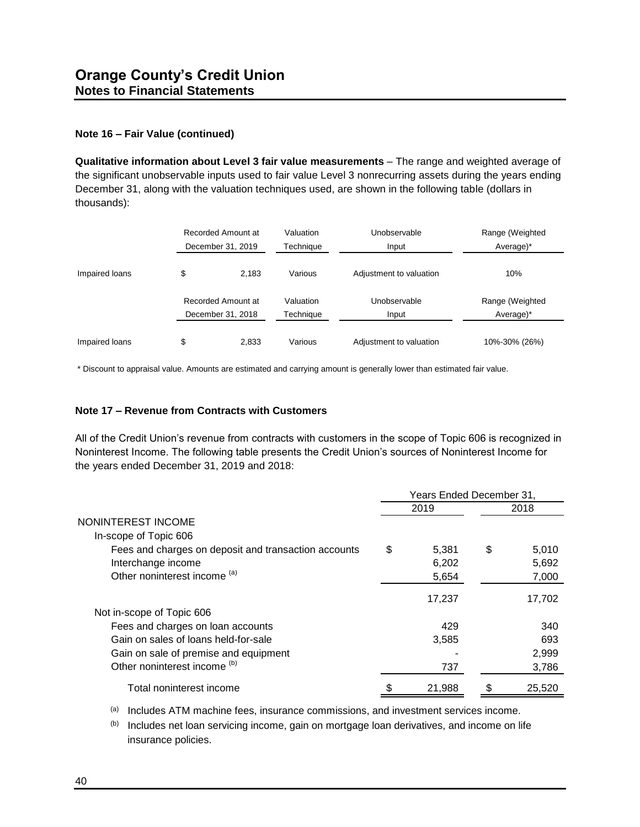#### **Note 16 – Fair Value (continued)**

**Qualitative information about Level 3 fair value measurements** – The range and weighted average of the significant unobservable inputs used to fair value Level 3 nonrecurring assets during the years ending December 31, along with the valuation techniques used, are shown in the following table (dollars in thousands):

|                | Recorded Amount at<br>December 31, 2019 |                                         | Valuation<br>Unobservable<br>Technique<br>Input |                         | Range (Weighted<br>Average)* |
|----------------|-----------------------------------------|-----------------------------------------|-------------------------------------------------|-------------------------|------------------------------|
| Impaired loans | \$                                      | 2.183                                   | Various                                         | Adjustment to valuation | 10%                          |
|                |                                         | Recorded Amount at<br>December 31, 2018 | Valuation<br>Technique                          | Unobservable<br>Input   | Range (Weighted<br>Average)* |
| Impaired loans | \$                                      | 2,833                                   | Various                                         | Adjustment to valuation | 10%-30% (26%)                |

\* Discount to appraisal value. Amounts are estimated and carrying amount is generally lower than estimated fair value.

#### **Note 17 – Revenue from Contracts with Customers**

All of the Credit Union's revenue from contracts with customers in the scope of Topic 606 is recognized in Noninterest Income. The following table presents the Credit Union's sources of Noninterest Income for the years ended December 31, 2019 and 2018:

|                                                      | Years Ended December 31, |        |   |        |  |
|------------------------------------------------------|--------------------------|--------|---|--------|--|
|                                                      |                          | 2019   |   | 2018   |  |
| NONINTEREST INCOME                                   |                          |        |   |        |  |
| In-scope of Topic 606                                |                          |        |   |        |  |
| Fees and charges on deposit and transaction accounts | \$                       | 5,381  | S | 5,010  |  |
| Interchange income                                   |                          | 6,202  |   | 5,692  |  |
| Other noninterest income (a)                         |                          | 5,654  |   | 7,000  |  |
|                                                      |                          | 17,237 |   | 17,702 |  |
| Not in-scope of Topic 606                            |                          |        |   |        |  |
| Fees and charges on loan accounts                    |                          | 429    |   | 340    |  |
| Gain on sales of loans held-for-sale                 |                          | 3,585  |   | 693    |  |
| Gain on sale of premise and equipment                |                          |        |   | 2,999  |  |
| Other noninterest income <sup>(b)</sup>              |                          | 737    |   | 3,786  |  |
| Total noninterest income                             |                          | 21,988 |   | 25,520 |  |

(a) Includes ATM machine fees, insurance commissions, and investment services income.

(b) Includes net loan servicing income, gain on mortgage loan derivatives, and income on life insurance policies.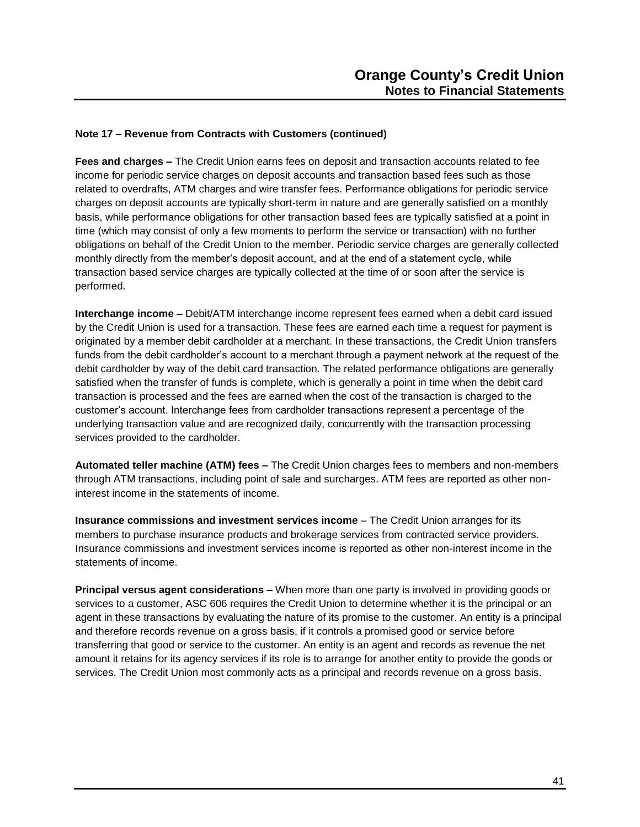# **Note 17 – Revenue from Contracts with Customers (continued)**

**Fees and charges –** The Credit Union earns fees on deposit and transaction accounts related to fee income for periodic service charges on deposit accounts and transaction based fees such as those related to overdrafts, ATM charges and wire transfer fees. Performance obligations for periodic service charges on deposit accounts are typically short-term in nature and are generally satisfied on a monthly basis, while performance obligations for other transaction based fees are typically satisfied at a point in time (which may consist of only a few moments to perform the service or transaction) with no further obligations on behalf of the Credit Union to the member. Periodic service charges are generally collected monthly directly from the member's deposit account, and at the end of a statement cycle, while transaction based service charges are typically collected at the time of or soon after the service is performed.

**Interchange income –** Debit/ATM interchange income represent fees earned when a debit card issued by the Credit Union is used for a transaction. These fees are earned each time a request for payment is originated by a member debit cardholder at a merchant. In these transactions, the Credit Union transfers funds from the debit cardholder's account to a merchant through a payment network at the request of the debit cardholder by way of the debit card transaction. The related performance obligations are generally satisfied when the transfer of funds is complete, which is generally a point in time when the debit card transaction is processed and the fees are earned when the cost of the transaction is charged to the customer's account. Interchange fees from cardholder transactions represent a percentage of the underlying transaction value and are recognized daily, concurrently with the transaction processing services provided to the cardholder.

**Automated teller machine (ATM) fees –** The Credit Union charges fees to members and non-members through ATM transactions, including point of sale and surcharges. ATM fees are reported as other noninterest income in the statements of income.

**Insurance commissions and investment services income** – The Credit Union arranges for its members to purchase insurance products and brokerage services from contracted service providers. Insurance commissions and investment services income is reported as other non-interest income in the statements of income.

**Principal versus agent considerations –** When more than one party is involved in providing goods or services to a customer, ASC 606 requires the Credit Union to determine whether it is the principal or an agent in these transactions by evaluating the nature of its promise to the customer. An entity is a principal and therefore records revenue on a gross basis, if it controls a promised good or service before transferring that good or service to the customer. An entity is an agent and records as revenue the net amount it retains for its agency services if its role is to arrange for another entity to provide the goods or services. The Credit Union most commonly acts as a principal and records revenue on a gross basis.